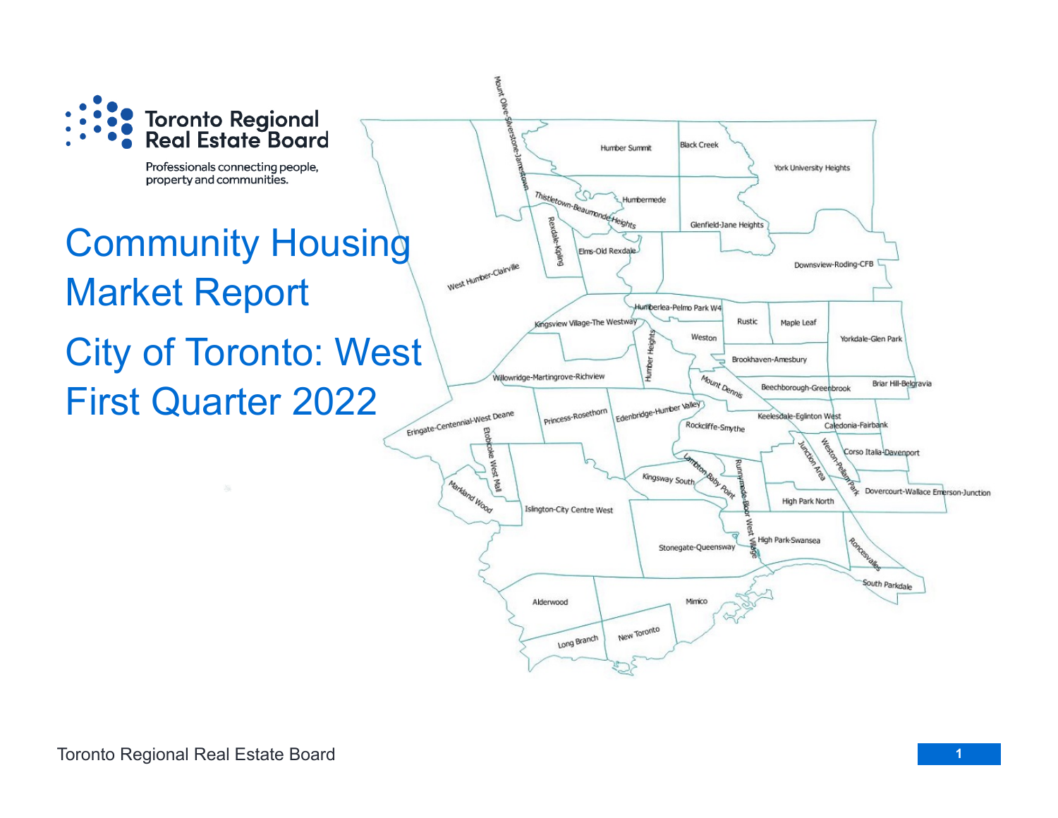

Professionals connecting people, property and communities.

# Community Housing Market Report City of Toronto: West First Quarter 2022

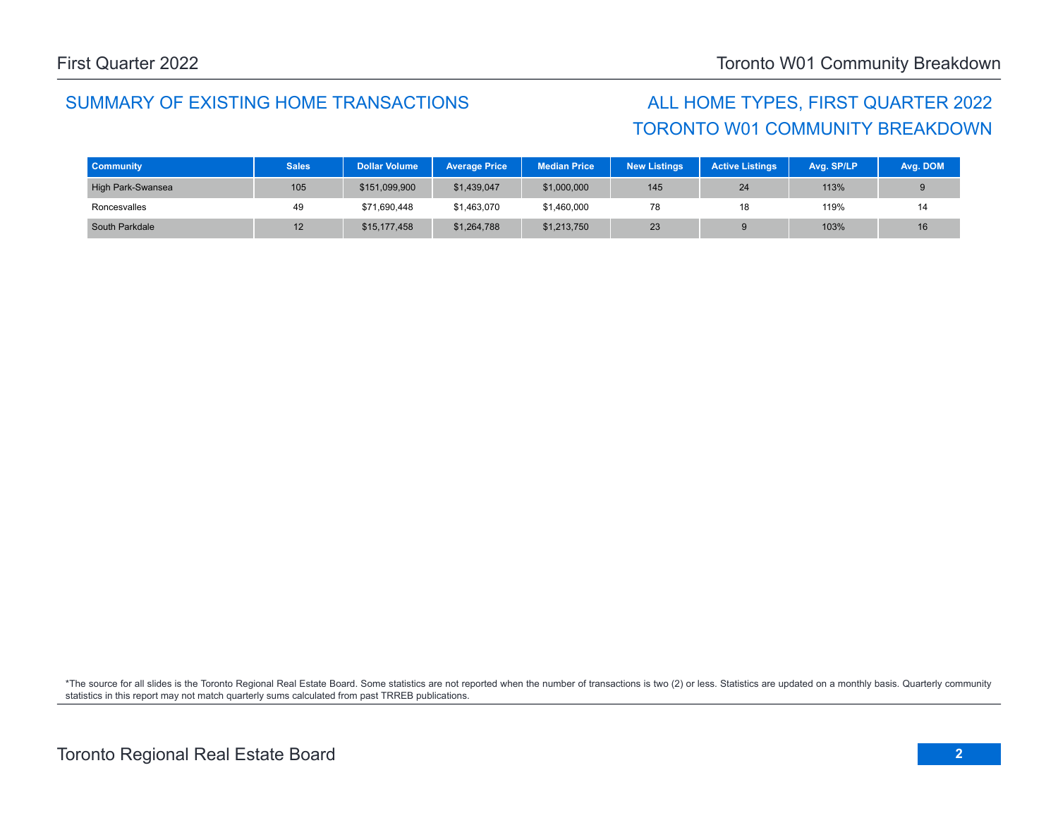### SUMMARY OF EXISTING HOME TRANSACTIONS ALL HOME TYPES, FIRST QUARTER 2022

# TORONTO W01 COMMUNITY BREAKDOWN

| <b>Community</b>  | <b>Sales</b> | <b>Dollar Volume</b> | <b>Average Price</b> | <b>Median Price</b> | <b>New Listings</b> | <b>Active Listings</b> | Avg. SP/LP | Avg. DOM |
|-------------------|--------------|----------------------|----------------------|---------------------|---------------------|------------------------|------------|----------|
| High Park-Swansea | 105          | \$151,099,900        | \$1,439,047          | \$1,000,000         | 145                 | 24                     | 113%       |          |
| Roncesvalles      | 49           | \$71,690,448         | \$1,463,070          | \$1,460,000         | 78                  | 18                     | 119%       | 14       |
| South Parkdale    | 12           | \$15,177,458         | \$1,264,788          | \$1,213,750         | 23                  |                        | 103%       | 16       |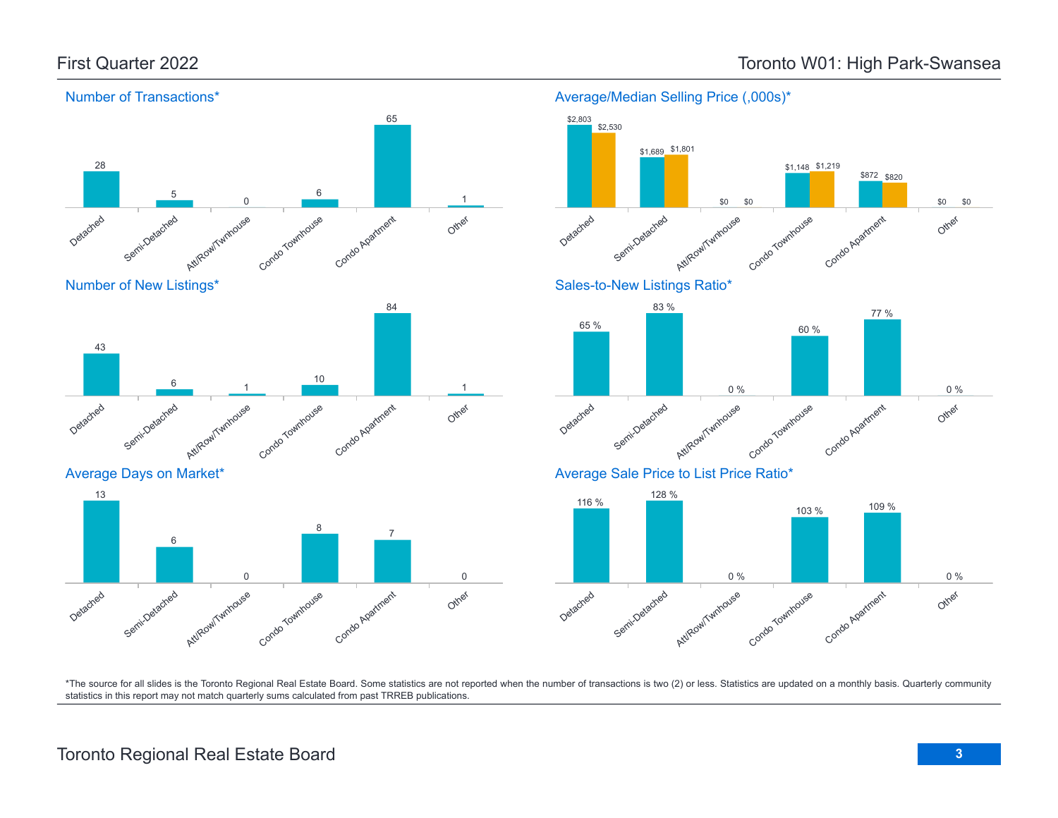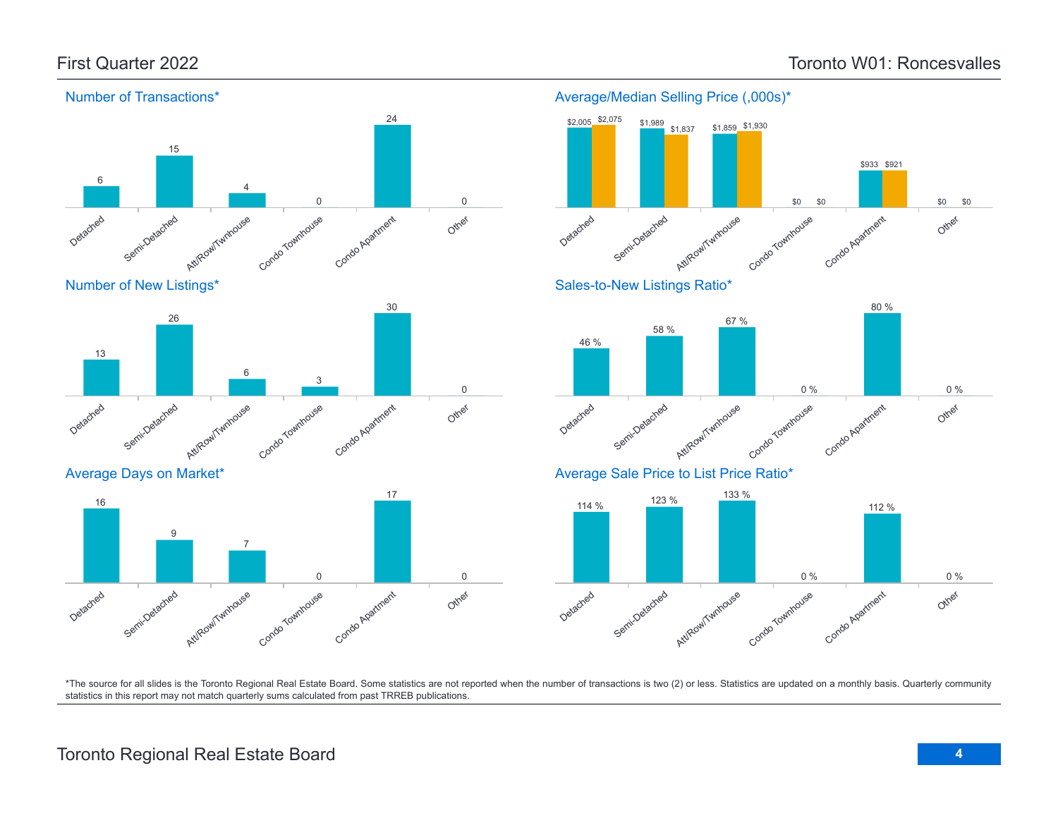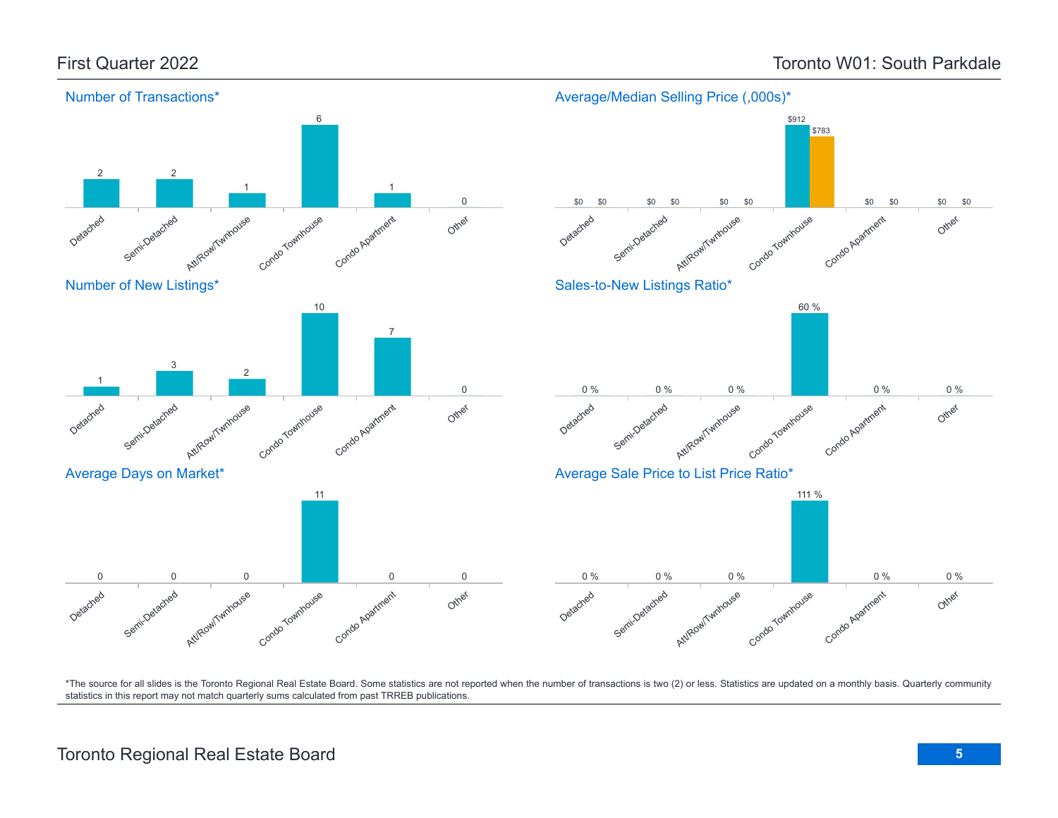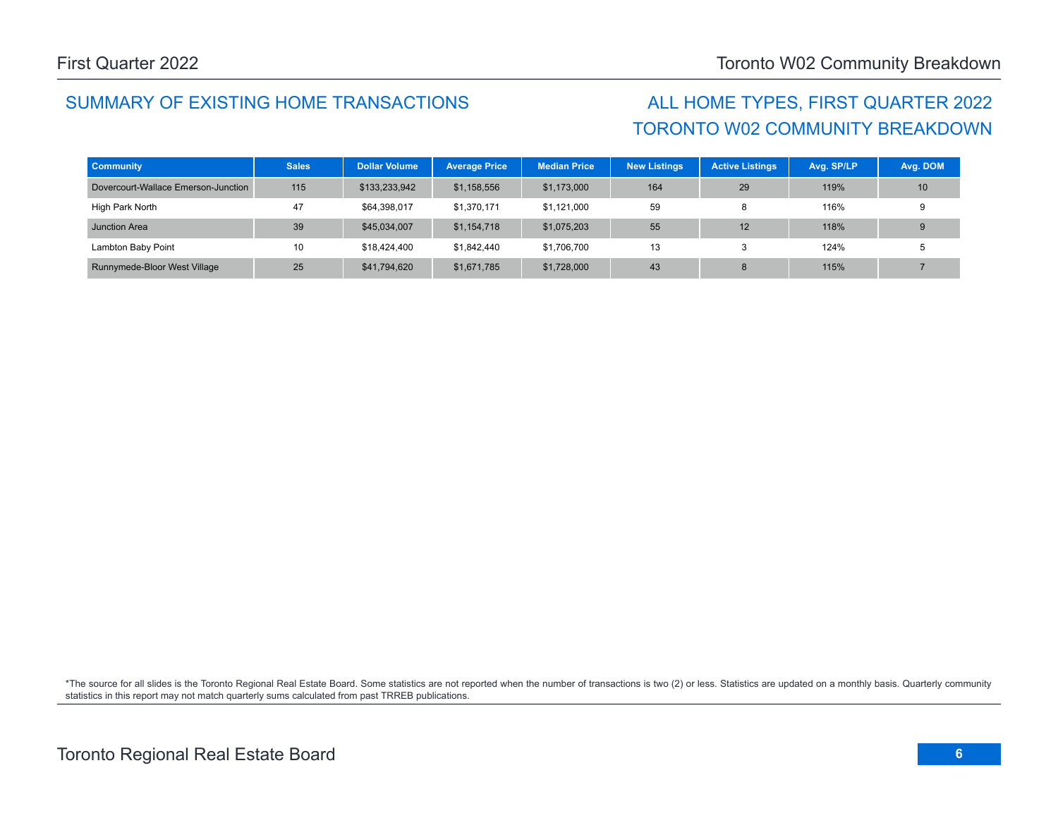## SUMMARY OF EXISTING HOME TRANSACTIONS ALL HOME TYPES, FIRST QUARTER 2022

# TORONTO W02 COMMUNITY BREAKDOWN

| <b>Community</b>                    | <b>Sales</b>    | <b>Dollar Volume</b> | <b>Average Price</b> | <b>Median Price</b> | New Listings | <b>Active Listings</b> | Avg. SP/LP | Avg. DOM |
|-------------------------------------|-----------------|----------------------|----------------------|---------------------|--------------|------------------------|------------|----------|
| Dovercourt-Wallace Emerson-Junction | 115             | \$133,233,942        | \$1,158,556          | \$1,173,000         | 164          | 29                     | 119%       | 10       |
| High Park North                     | 47              | \$64,398,017         | \$1,370,171          | \$1,121,000         | 59           | Ω                      | 116%       |          |
| Junction Area                       | 39              | \$45,034,007         | \$1,154,718          | \$1,075,203         | 55           | 12                     | 118%       |          |
| Lambton Baby Point                  | 10 <sup>°</sup> | \$18,424,400         | \$1,842,440          | \$1,706,700         | 13           | ĸ.                     | 124%       |          |
| Runnymede-Bloor West Village        | 25              | \$41,794,620         | \$1,671,785          | \$1,728,000         | 43           | 8                      | 115%       |          |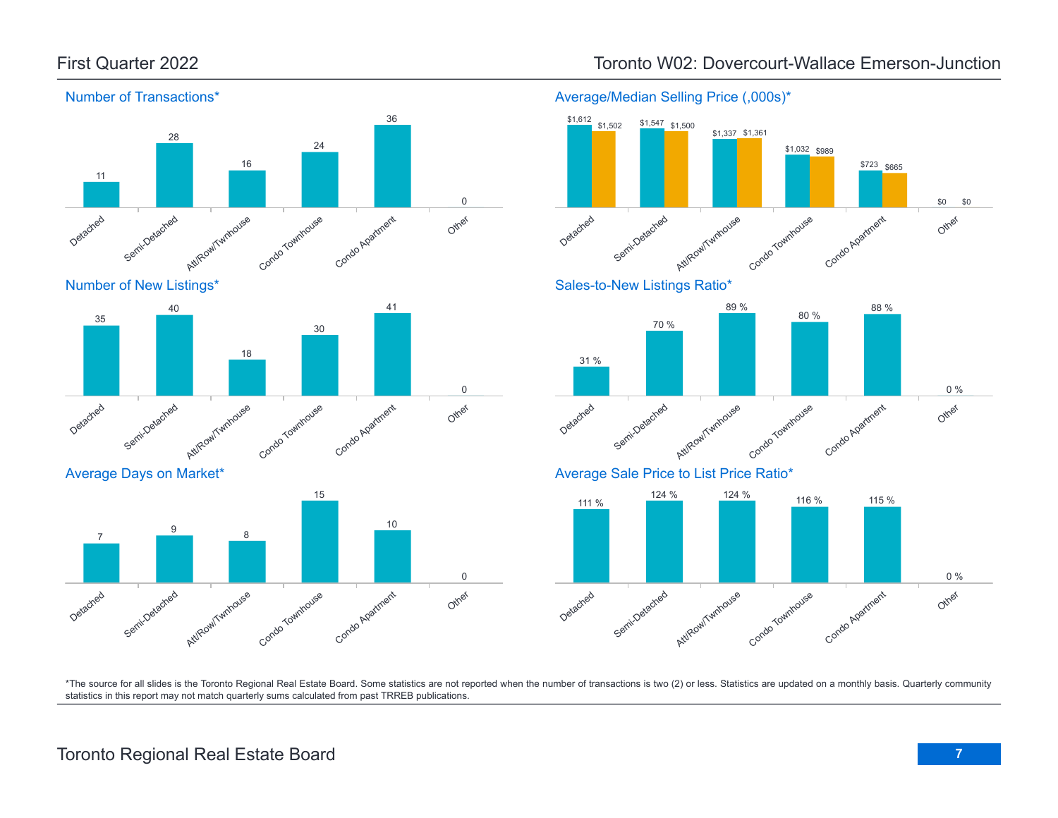

Condo Agatment

## First Quarter 2022 Toronto W02: Dovercourt-Wallace Emerson-Junction

Average/Median Selling Price (,000s)\*



\*The source for all slides is the Toronto Regional Real Estate Board. Some statistics are not reported when the number of transactions is two (2) or less. Statistics are updated on a monthly basis. Quarterly community statistics in this report may not match quarterly sums calculated from past TRREB publications.

Other

0

Att/Row/Twnhouse

Condo Townhouse

Detached

Semi-Detached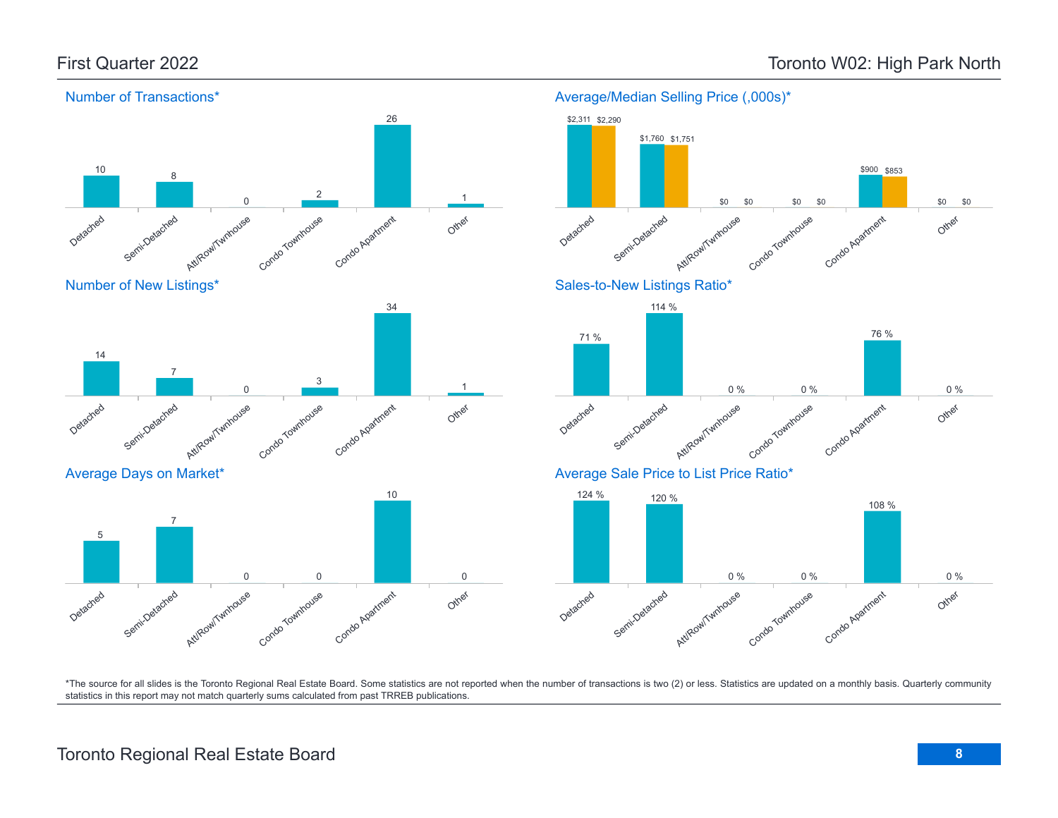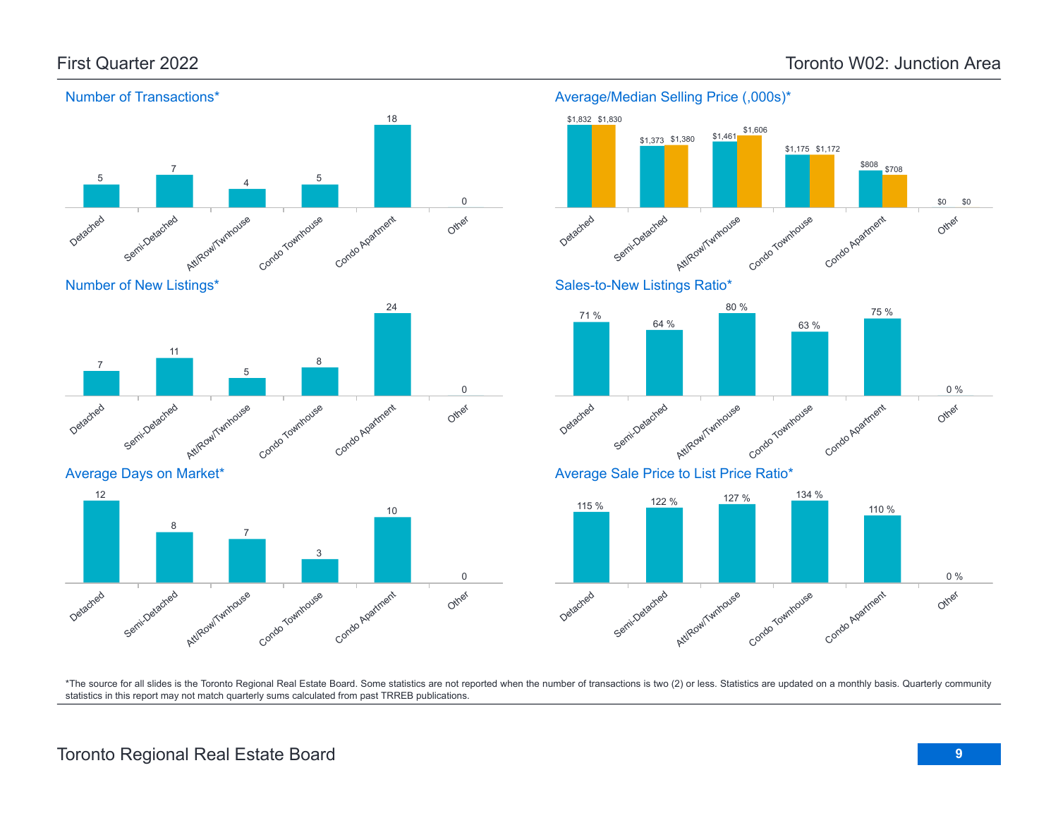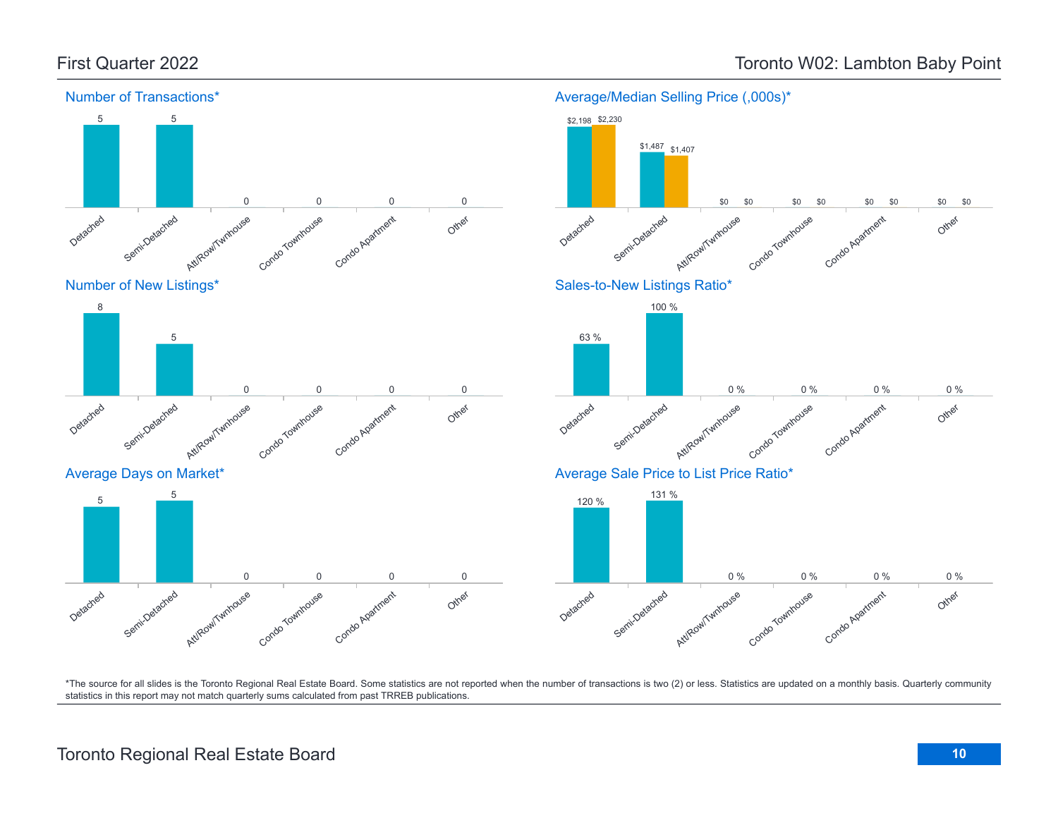8

Detached

5

Semi-Detached



Detached

Semi-Detachee<sup>d</sup>

Att/Row/Twnhouse

Condo Townhouse

Condo Apartment

\*The source for all slides is the Toronto Regional Real Estate Board. Some statistics are not reported when the number of transactions is two (2) or less. Statistics are updated on a monthly basis. Quarterly community statistics in this report may not match quarterly sums calculated from past TRREB publications.

Other

Att/Row/Twnhouse

Condo Townhouse

Condo Apartment

Other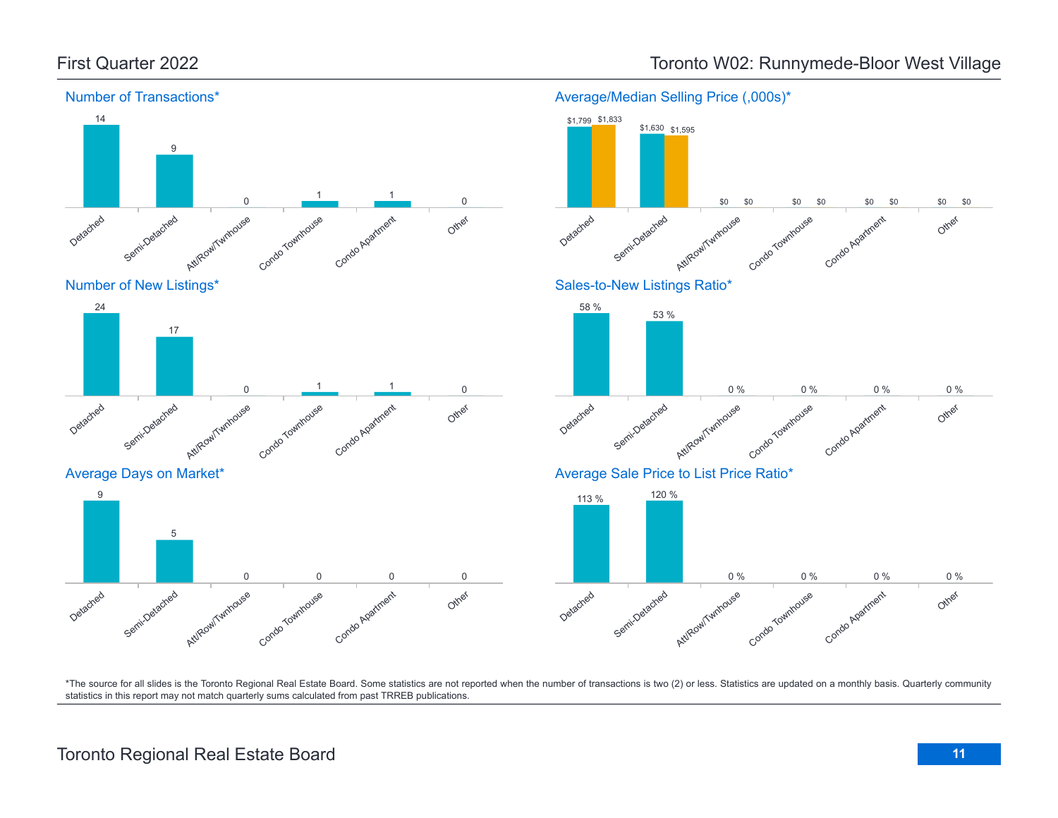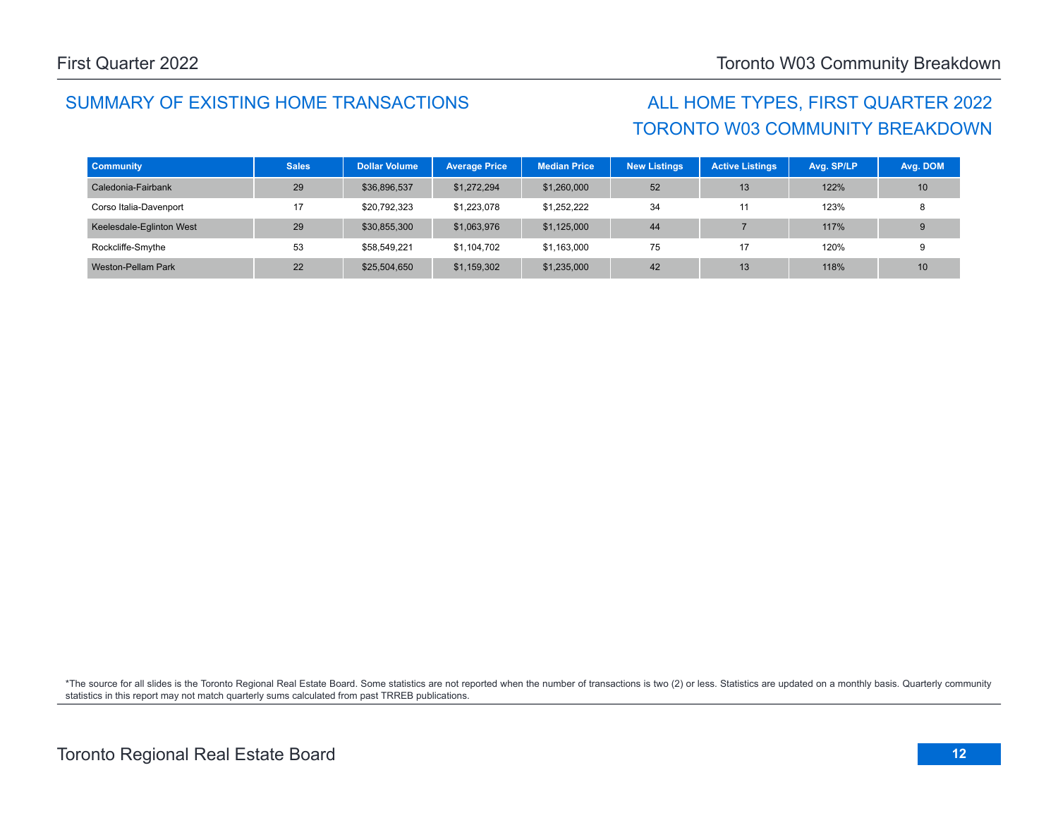## SUMMARY OF EXISTING HOME TRANSACTIONS ALL HOME TYPES, FIRST QUARTER 2022

# TORONTO W03 COMMUNITY BREAKDOWN

| <b>Community</b>         | <b>Sales</b> | <b>Dollar Volume</b> | <b>Average Price</b> | <b>Median Price</b> | <b>New Listings</b> | <b>Active Listings</b> | Avg. SP/LP | Avg. DOM |
|--------------------------|--------------|----------------------|----------------------|---------------------|---------------------|------------------------|------------|----------|
| Caledonia-Fairbank       | 29           | \$36,896,537         | \$1,272,294          | \$1,260,000         | 52                  | 13                     | 122%       | 10       |
| Corso Italia-Davenport   | 17           | \$20,792,323         | \$1,223,078          | \$1,252,222         | 34                  | 11                     | 123%       |          |
| Keelesdale-Eglinton West | 29           | \$30,855,300         | \$1,063,976          | \$1,125,000         | 44                  |                        | 117%       |          |
| Rockcliffe-Smythe        | 53           | \$58.549.221         | \$1,104,702          | \$1,163,000         | 75                  | 17                     | 120%       |          |
| Weston-Pellam Park       | 22           | \$25,504,650         | \$1,159,302          | \$1,235,000         | 42                  | 13                     | 118%       | 10       |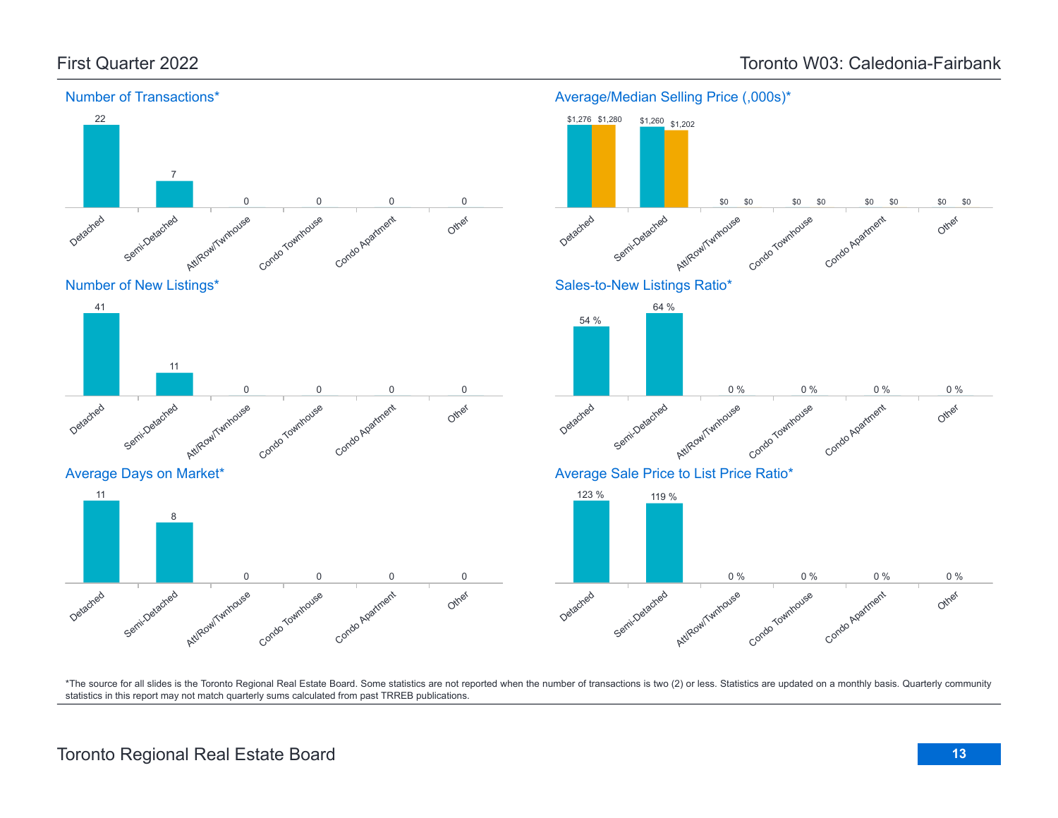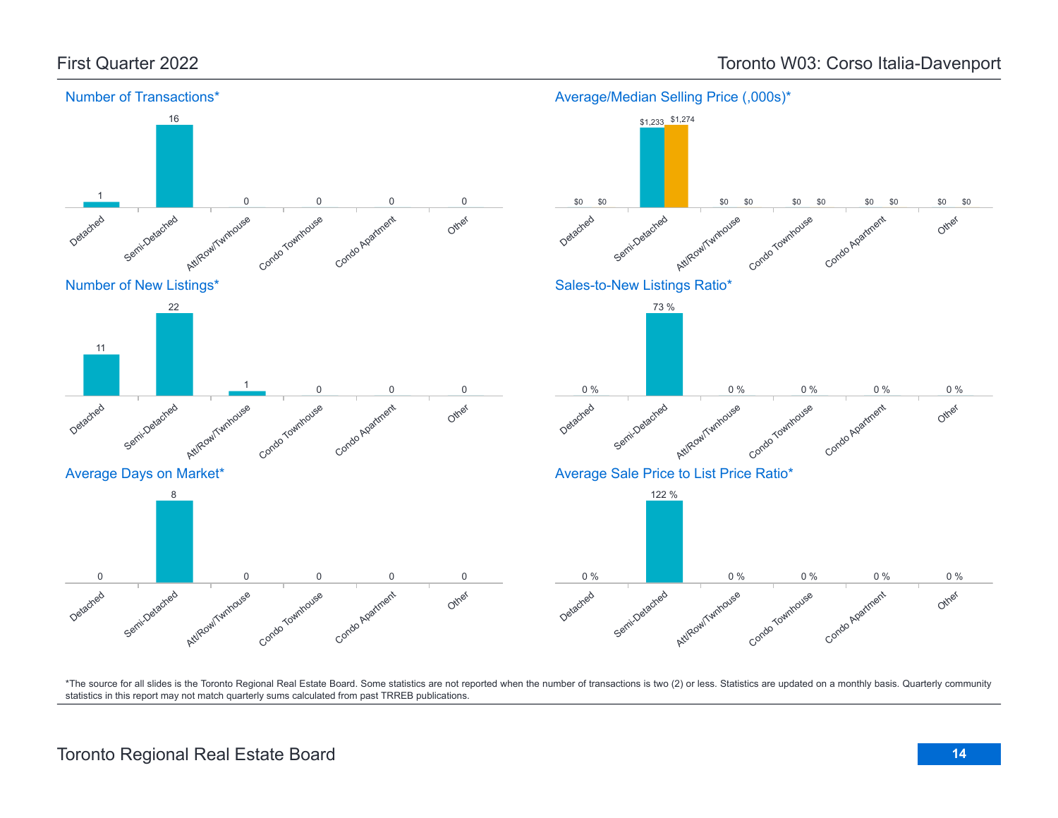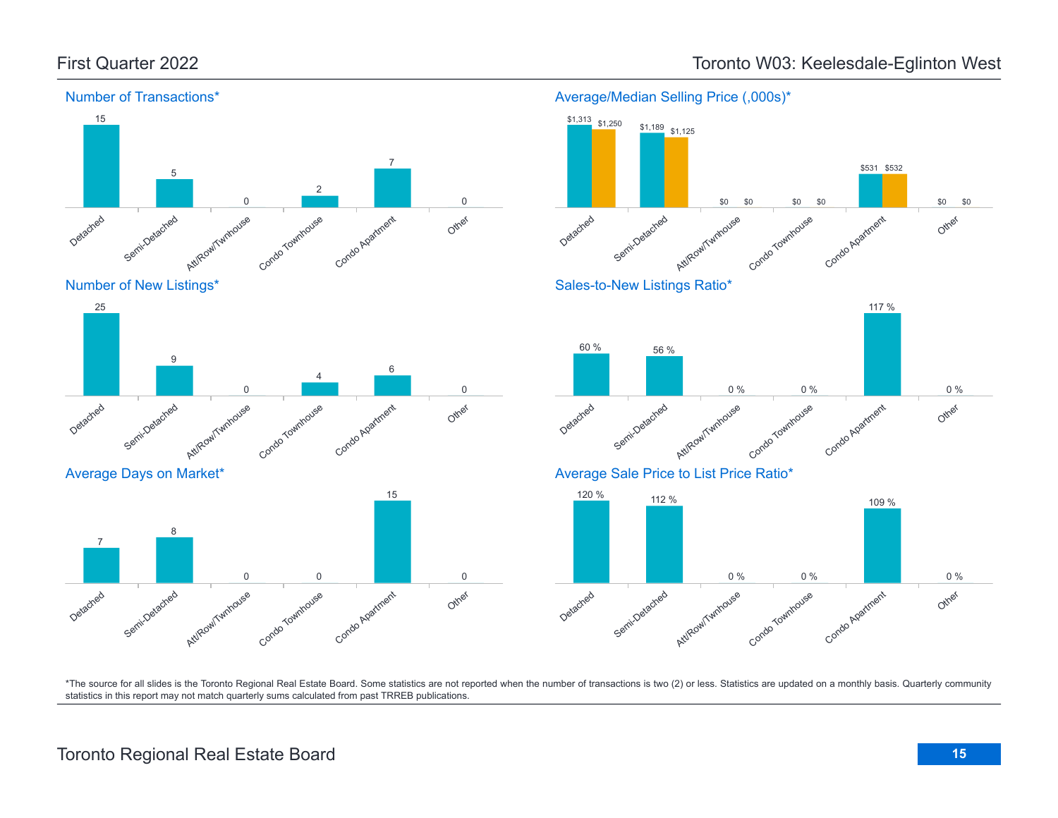Average Days on Market\*

Semi-Detached

8

Detached

7



## First Quarter 2022 Toronto W03: Keelesdale-Eglinton West

Average/Median Selling Price (,000s)\*

![](_page_14_Figure_4.jpeg)

\*The source for all slides is the Toronto Regional Real Estate Board. Some statistics are not reported when the number of transactions is two (2) or less. Statistics are updated on a monthly basis. Quarterly community statistics in this report may not match quarterly sums calculated from past TRREB publications.

Other

0

Att/Row/Twnhouse

Condo Townhouse

0 0

Condo Apartment

15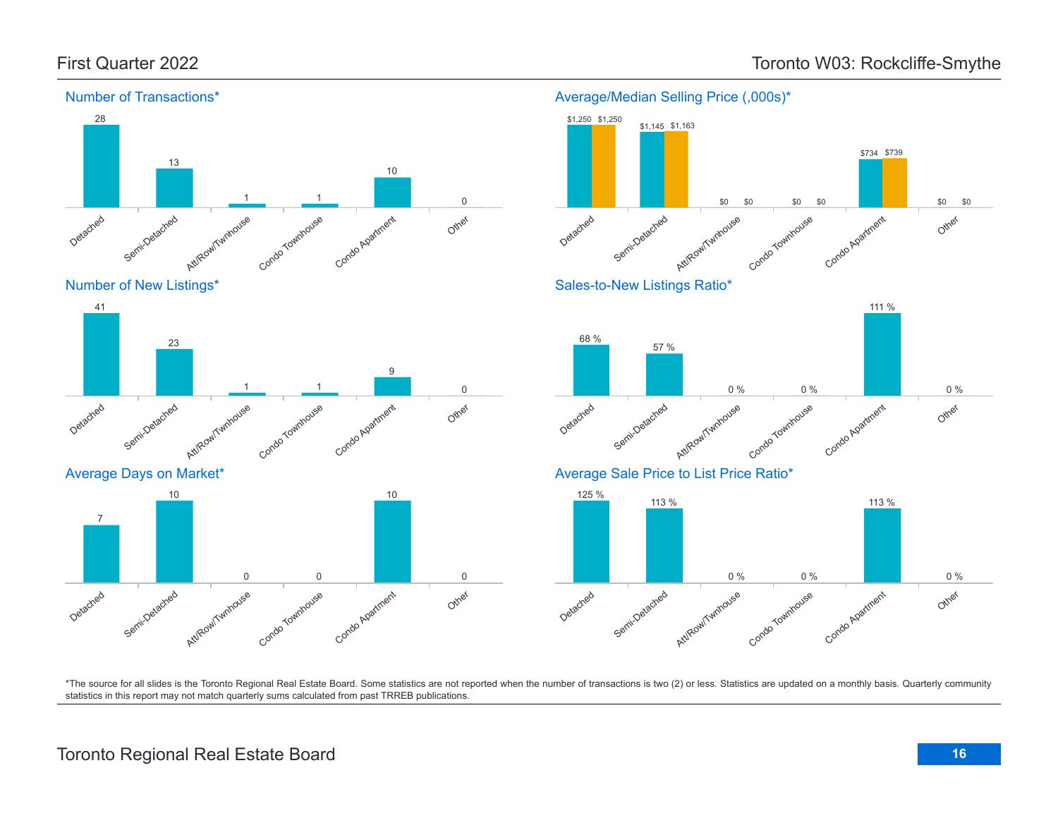![](_page_15_Figure_2.jpeg)

Detached Semi-Detached Att/Row/Twnhouse Condo Townhouse Condo Apartment Other 23 1 1 9 0

Average Days on Market\*

![](_page_15_Figure_5.jpeg)

![](_page_15_Figure_6.jpeg)

Average/Median Selling Price (,000s)\*

\$1,145 \$1,163

\$1,250 \$1,250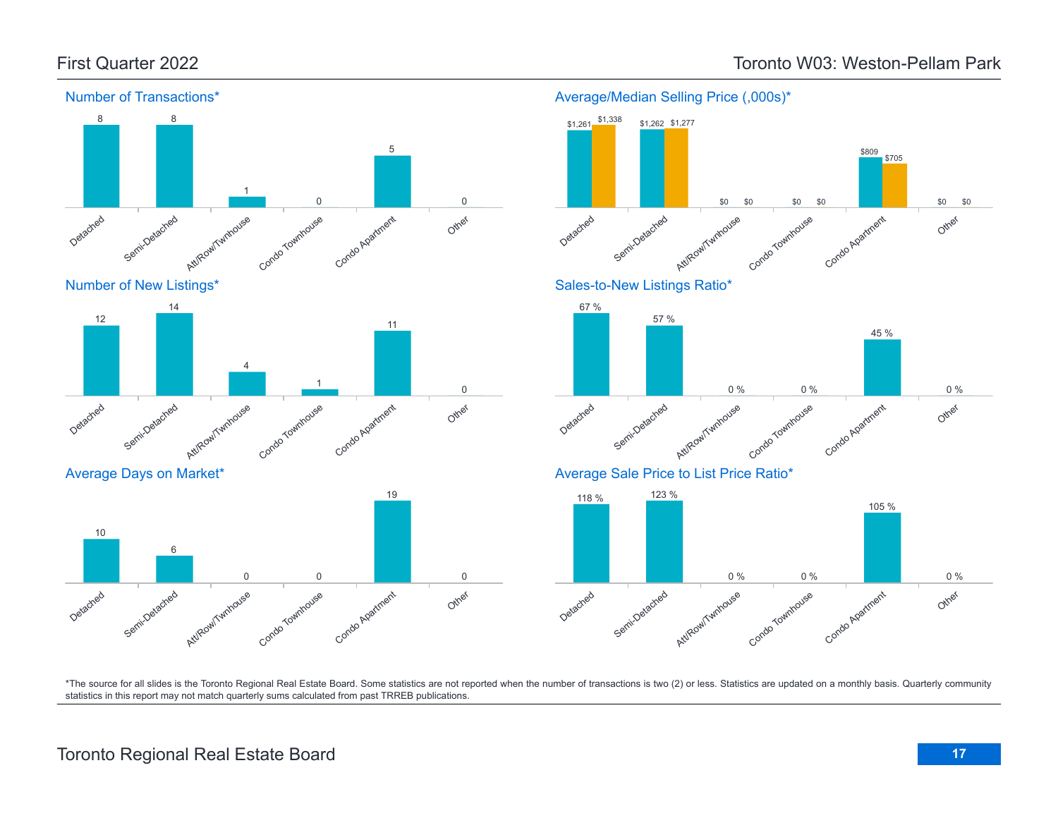![](_page_16_Figure_2.jpeg)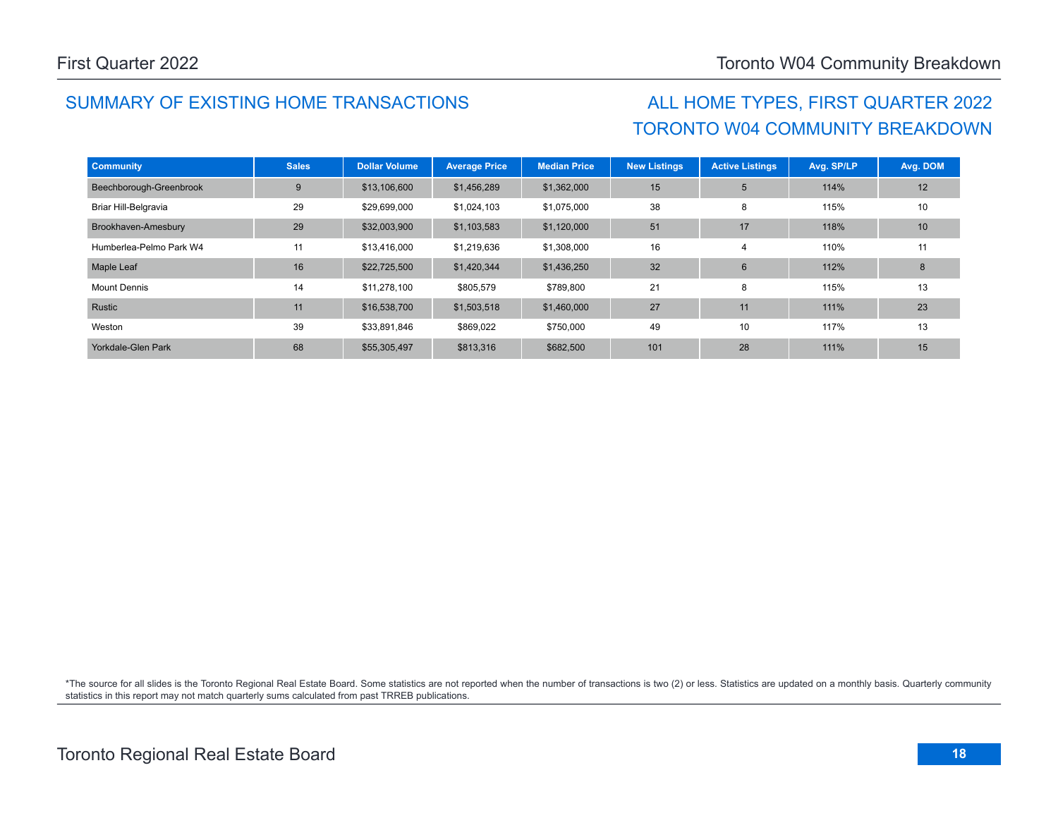## SUMMARY OF EXISTING HOME TRANSACTIONS ALL HOME TYPES, FIRST QUARTER 2022

# TORONTO W04 COMMUNITY BREAKDOWN

| <b>Community</b>        | <b>Sales</b> | <b>Dollar Volume</b> | <b>Average Price</b> | <b>Median Price</b> | <b>New Listings</b> | <b>Active Listings</b> | Avg. SP/LP | Avg. DOM |
|-------------------------|--------------|----------------------|----------------------|---------------------|---------------------|------------------------|------------|----------|
| Beechborough-Greenbrook | 9            | \$13,106,600         | \$1,456,289          | \$1,362,000         | 15                  | 5                      | 114%       | 12       |
| Briar Hill-Belgravia    | 29           | \$29,699,000         | \$1,024,103          | \$1,075,000         | 38                  | 8                      | 115%       | 10       |
| Brookhaven-Amesbury     | 29           | \$32,003,900         | \$1,103,583          | \$1,120,000         | 51                  | 17                     | 118%       | 10       |
| Humberlea-Pelmo Park W4 | 11           | \$13,416,000         | \$1,219,636          | \$1,308,000         | 16                  | 4                      | 110%       | 11       |
| Maple Leaf              | 16           | \$22,725,500         | \$1,420,344          | \$1,436,250         | 32                  | 6                      | 112%       | 8        |
| <b>Mount Dennis</b>     | 14           | \$11,278,100         | \$805,579            | \$789,800           | 21                  | 8                      | 115%       | 13       |
| Rustic                  | 11           | \$16,538,700         | \$1,503,518          | \$1,460,000         | 27                  | 11                     | 111%       | 23       |
| Weston                  | 39           | \$33,891,846         | \$869,022            | \$750,000           | 49                  | 10                     | 117%       | 13       |
| Yorkdale-Glen Park      | 68           | \$55,305,497         | \$813,316            | \$682,500           | 101                 | 28                     | 111%       | 15       |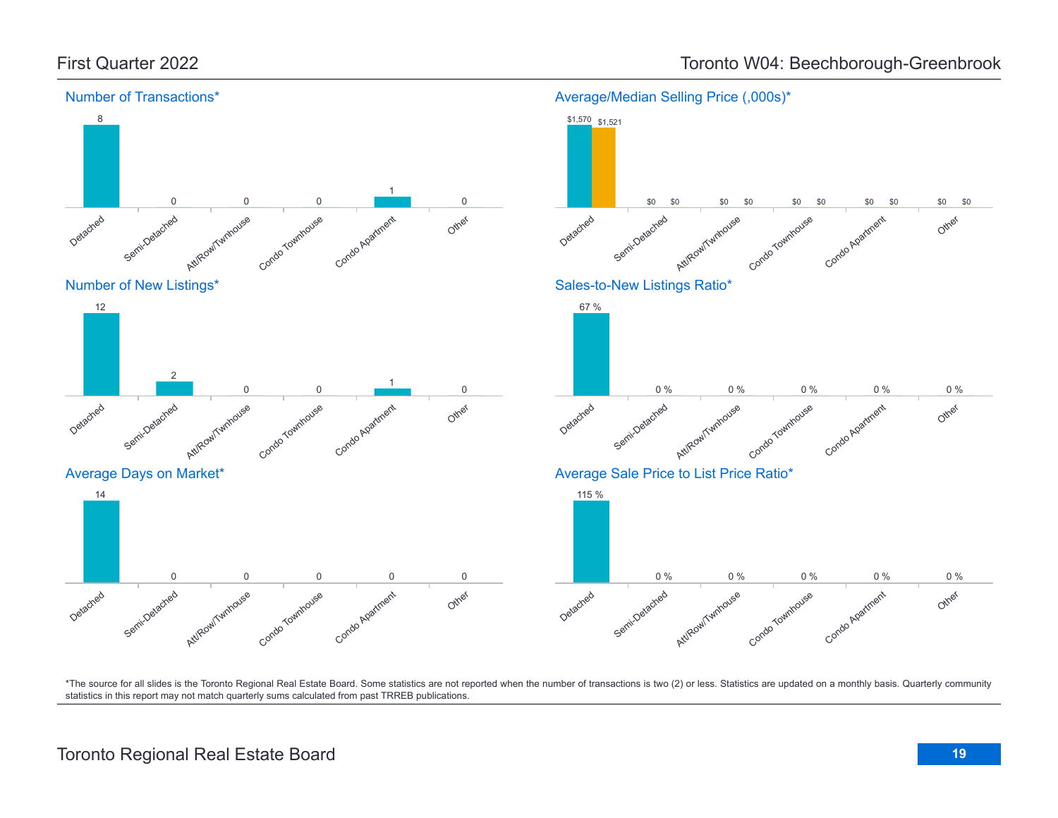![](_page_18_Figure_1.jpeg)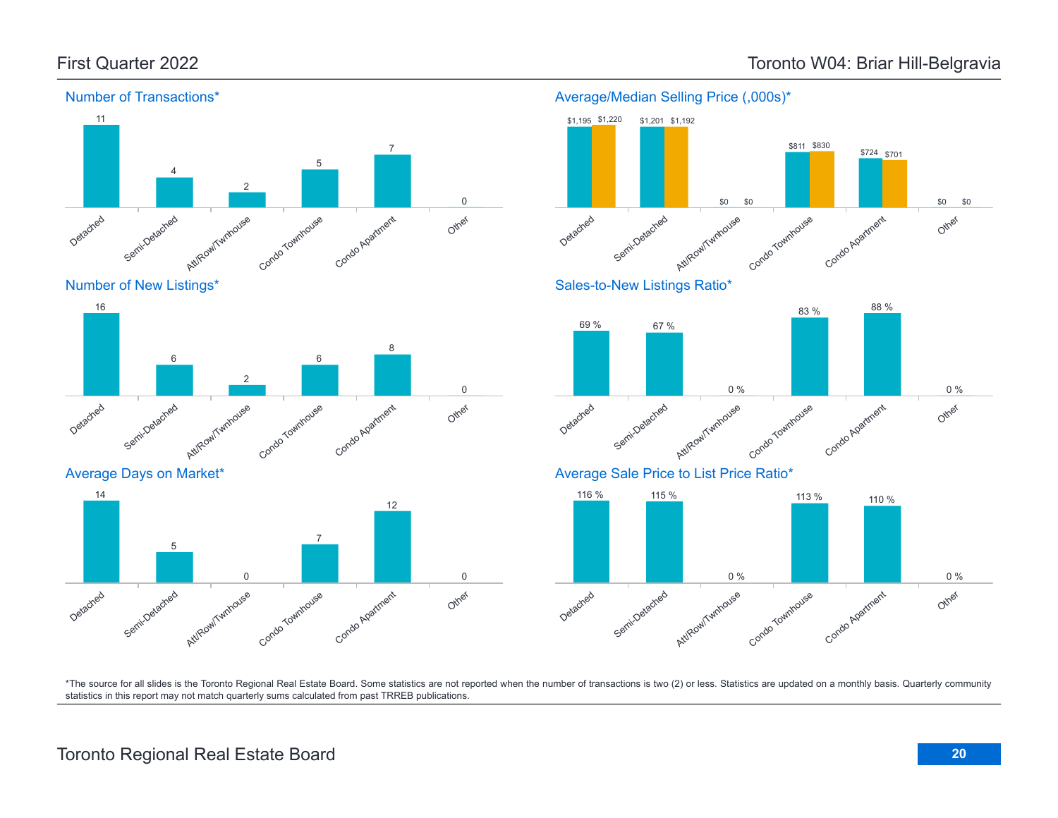![](_page_19_Figure_2.jpeg)

![](_page_19_Figure_3.jpeg)

![](_page_19_Figure_4.jpeg)

Average Days on Market\*

![](_page_19_Figure_6.jpeg)

![](_page_19_Figure_7.jpeg)

Average/Median Selling Price (,000s)\*

![](_page_19_Figure_8.jpeg)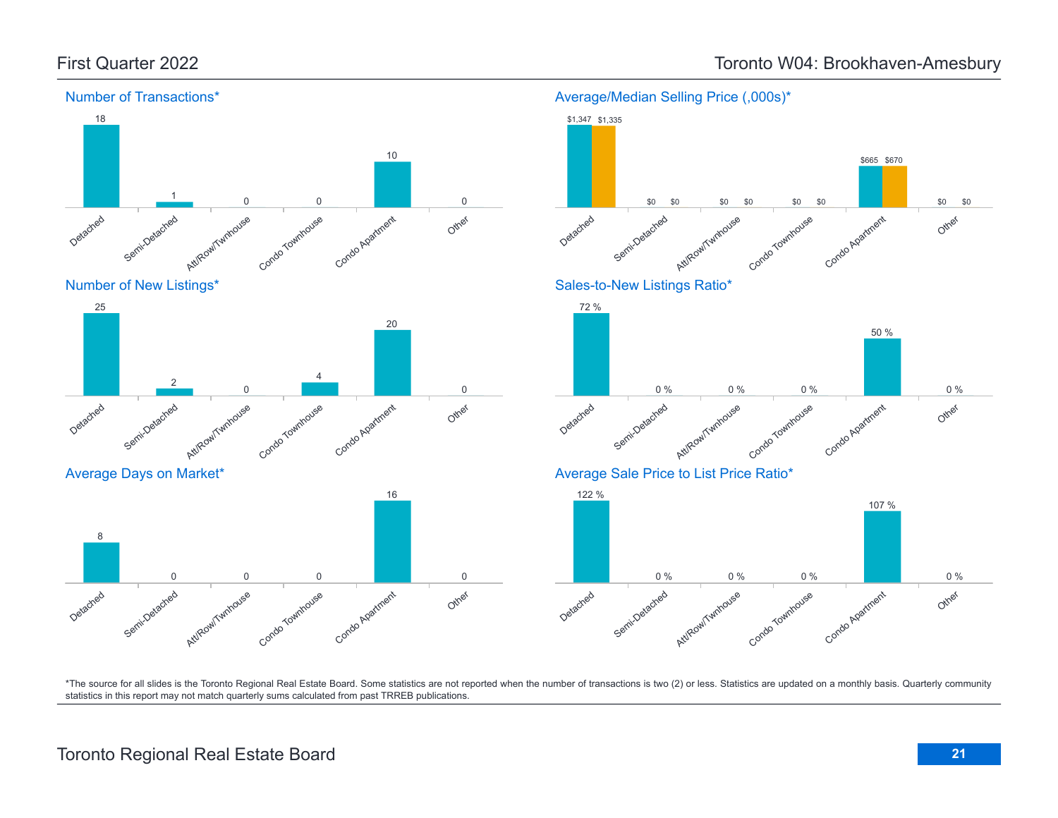![](_page_20_Figure_1.jpeg)

## First Quarter 2022 **Toronto W04: Brookhaven-Amesbury** Toronto W04: Brookhaven-Amesbury

\*The source for all slides is the Toronto Regional Real Estate Board. Some statistics are not reported when the number of transactions is two (2) or less. Statistics are updated on a monthly basis. Quarterly community statistics in this report may not match quarterly sums calculated from past TRREB publications.

Other

Other

Other

0 %

0 %

\$0

\$0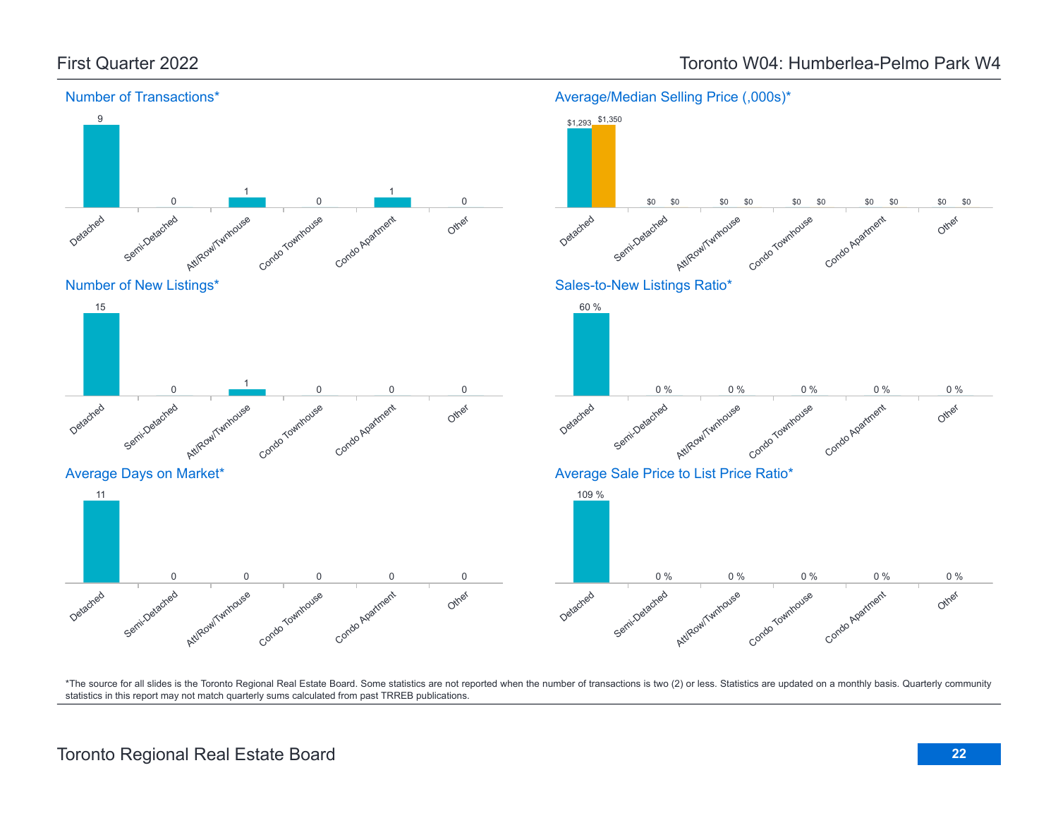![](_page_21_Figure_1.jpeg)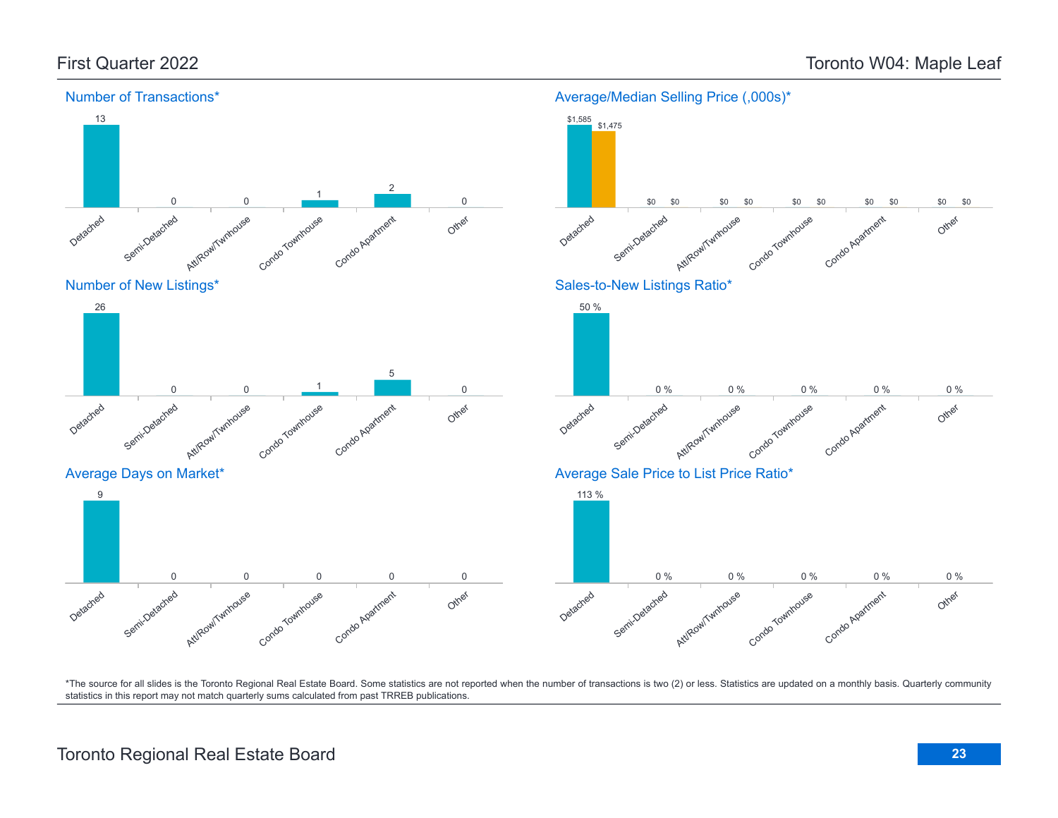![](_page_22_Figure_2.jpeg)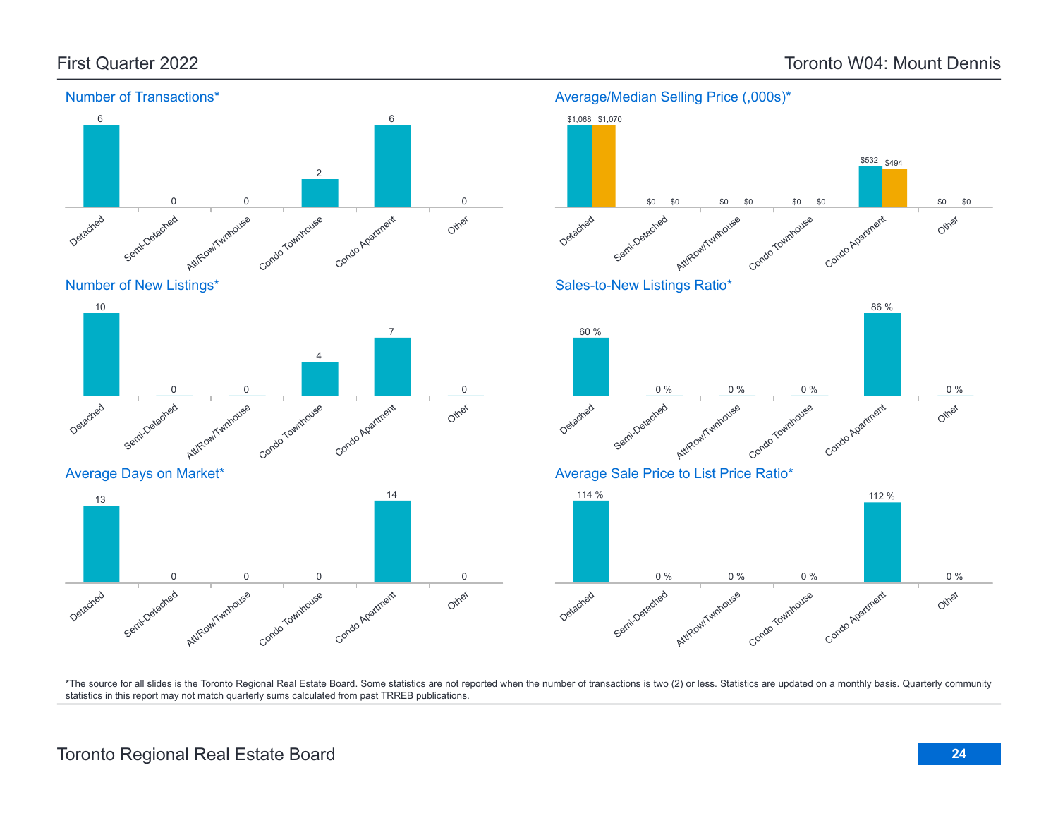![](_page_23_Figure_2.jpeg)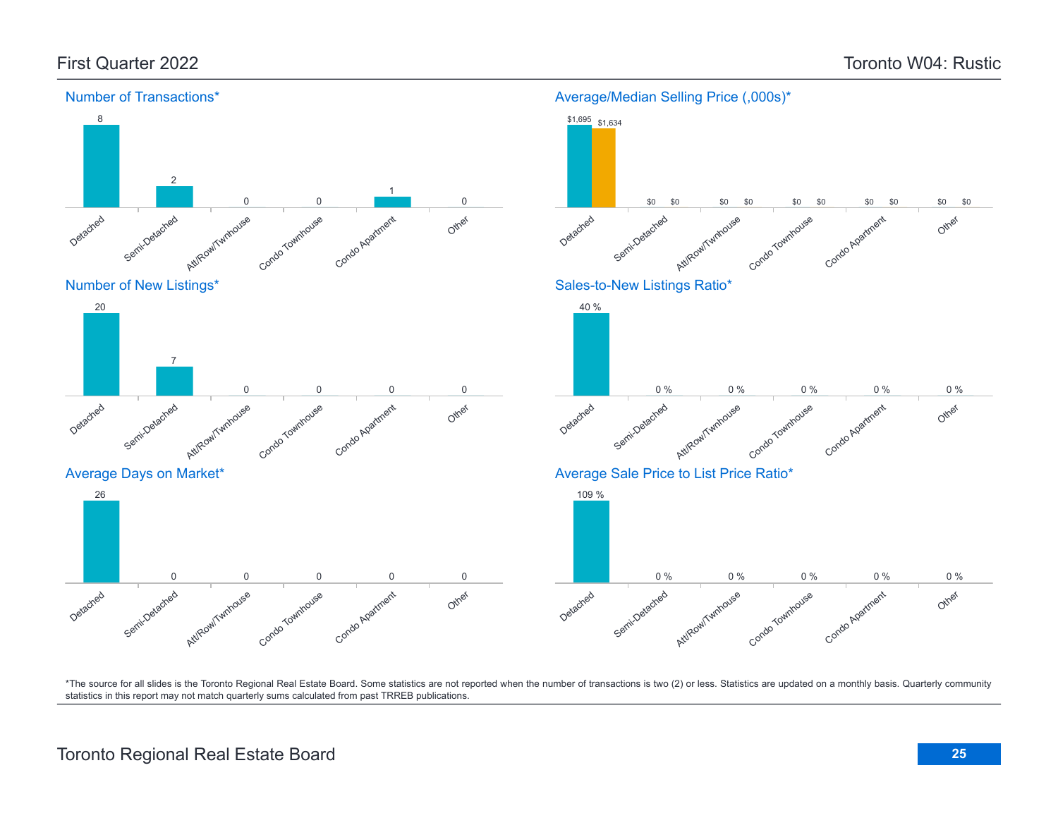![](_page_24_Figure_2.jpeg)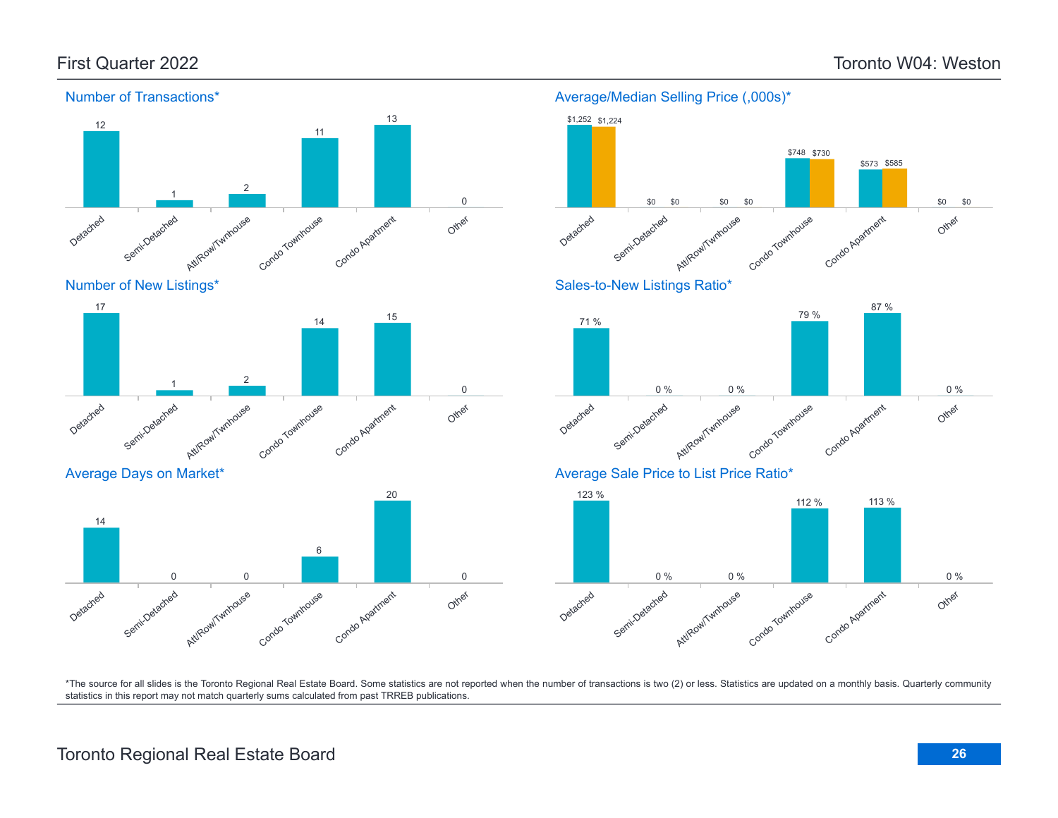![](_page_25_Figure_2.jpeg)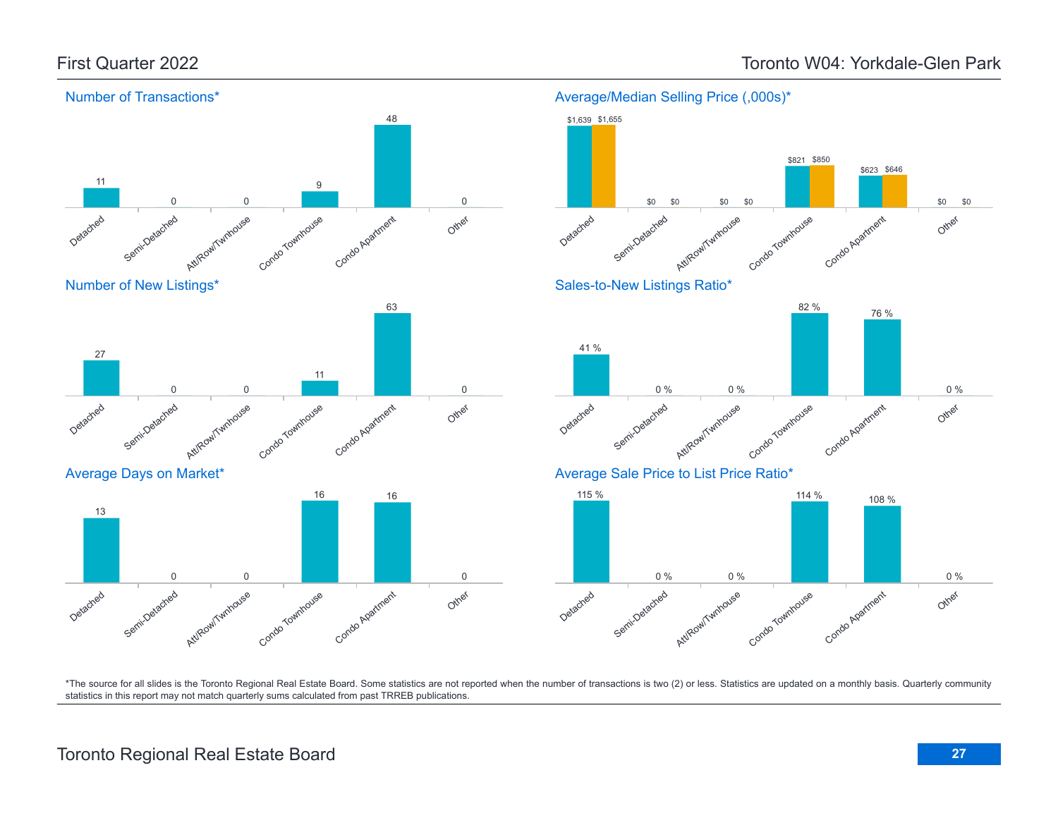![](_page_26_Figure_2.jpeg)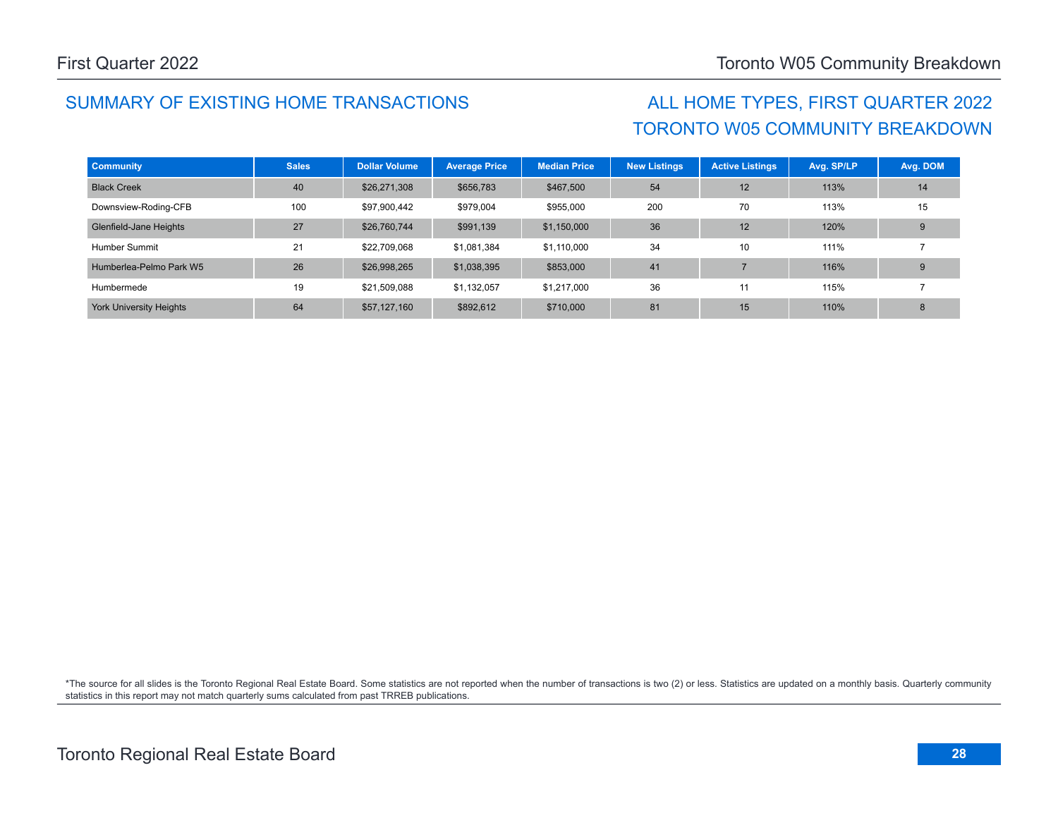## SUMMARY OF EXISTING HOME TRANSACTIONS ALL HOME TYPES, FIRST QUARTER 2022

# TORONTO W05 COMMUNITY BREAKDOWN

| <b>Community</b>               | <b>Sales</b> | <b>Dollar Volume</b> | <b>Average Price</b> | <b>Median Price</b> | <b>New Listings</b> | <b>Active Listings</b> | Avg. SP/LP | Avg. DOM |
|--------------------------------|--------------|----------------------|----------------------|---------------------|---------------------|------------------------|------------|----------|
| <b>Black Creek</b>             | 40           | \$26,271,308         | \$656,783            | \$467,500           | 54                  | 12                     | 113%       | 14       |
| Downsview-Roding-CFB           | 100          | \$97,900,442         | \$979,004            | \$955,000           | 200                 | 70                     | 113%       | 15       |
| Glenfield-Jane Heights         | 27           | \$26,760,744         | \$991,139            | \$1,150,000         | 36                  | 12                     | 120%       | 9        |
| Humber Summit                  | 21           | \$22,709,068         | \$1,081,384          | \$1,110,000         | 34                  | 10                     | 111%       |          |
| Humberlea-Pelmo Park W5        | 26           | \$26,998,265         | \$1,038,395          | \$853,000           | 41                  |                        | 116%       | 9        |
| Humbermede                     | 19           | \$21,509,088         | \$1,132,057          | \$1,217,000         | 36                  | 11                     | 115%       |          |
| <b>York University Heights</b> | 64           | \$57,127,160         | \$892,612            | \$710,000           | 81                  | 15                     | 110%       | 8        |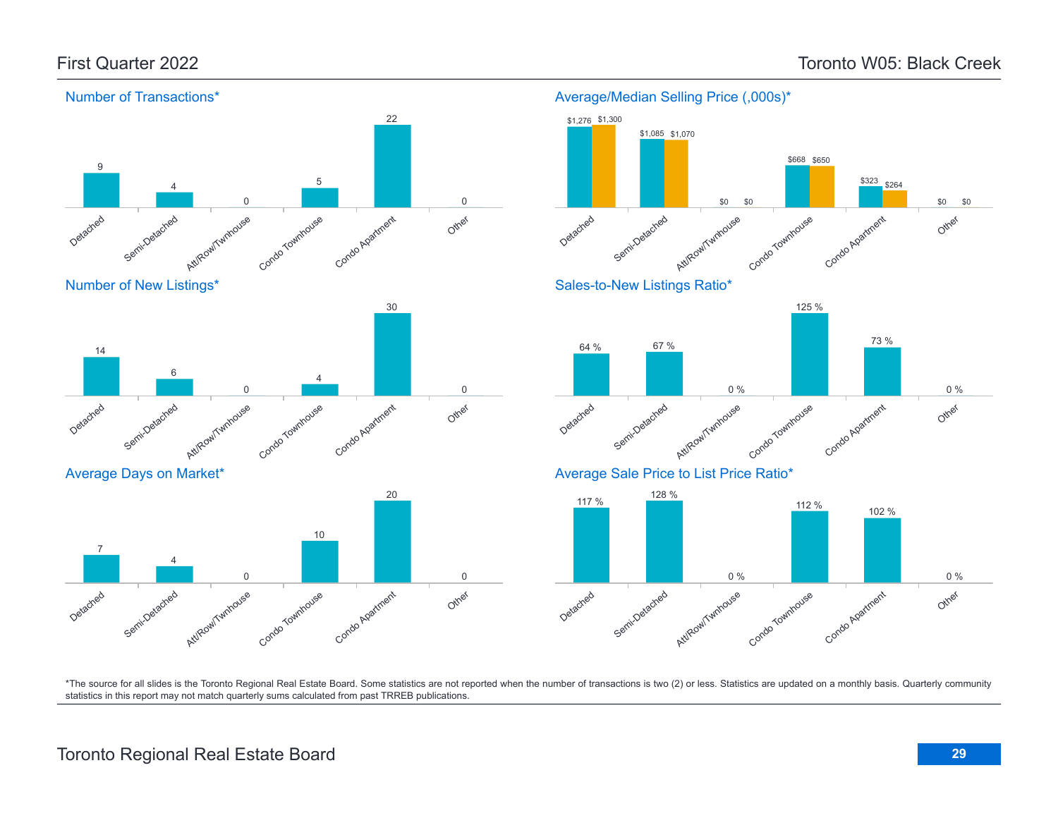![](_page_28_Figure_2.jpeg)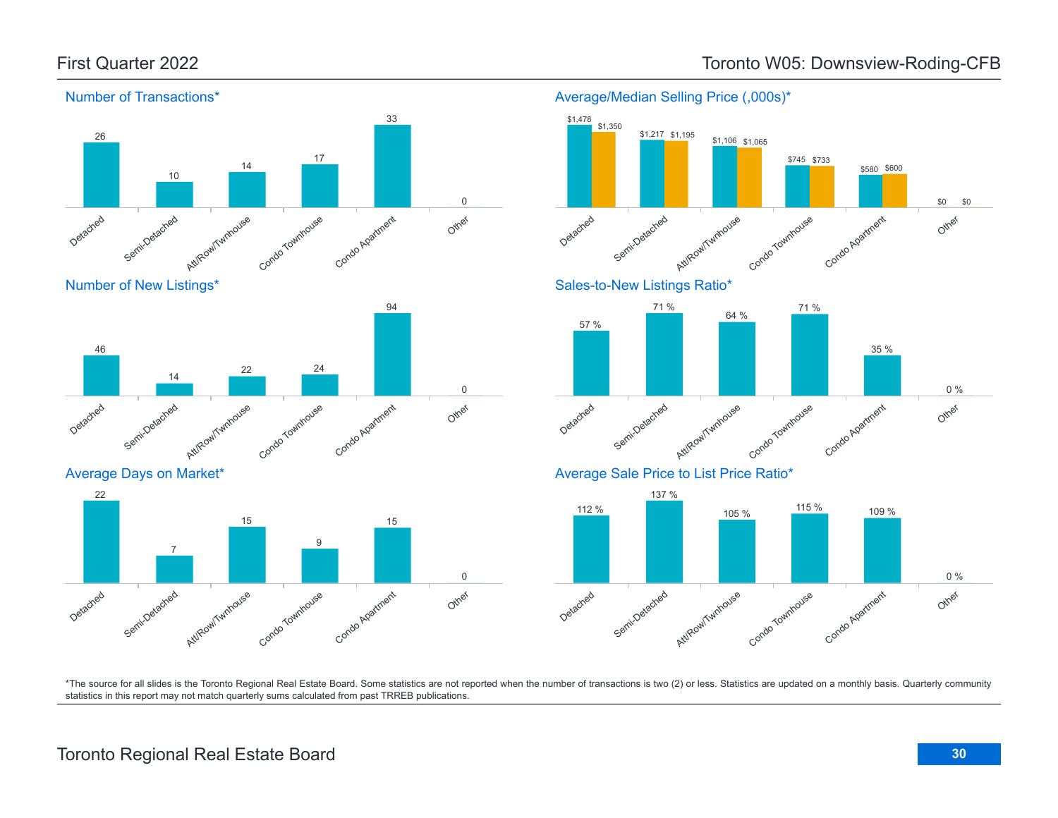![](_page_29_Figure_1.jpeg)

Number of New Listings\*

![](_page_29_Figure_3.jpeg)

Average Days on Market\*

![](_page_29_Figure_5.jpeg)

### Detached Semi-Detached Attifcow/Twnhouse Condo Townhouse Condo Agatment Other \$1,217 \$1,195 \$1,106 \$1,065 \$745 \$733 \$580 \$600 \$0 \$0 Sales-to-New Listings Ratio\* Detached Semi-Detached Att/Row/Twnhouse Condo Townhouse Condo Apatricent Other 57 % 71 % 64 % 71 % 35 % 0 % Average Sale Price to List Price Ratio\* 112 % 137 % 105 % <sup>115</sup> % <sup>109</sup> %

![](_page_29_Figure_7.jpeg)

\*The source for all slides is the Toronto Regional Real Estate Board. Some statistics are not reported when the number of transactions is two (2) or less. Statistics are updated on a monthly basis. Quarterly community statistics in this report may not match quarterly sums calculated from past TRREB publications.

## First Quarter 2022 Toronto W05: Downsview-Roding-CFB

Average/Median Selling Price (,000s)\*

\$1,478 \$1,350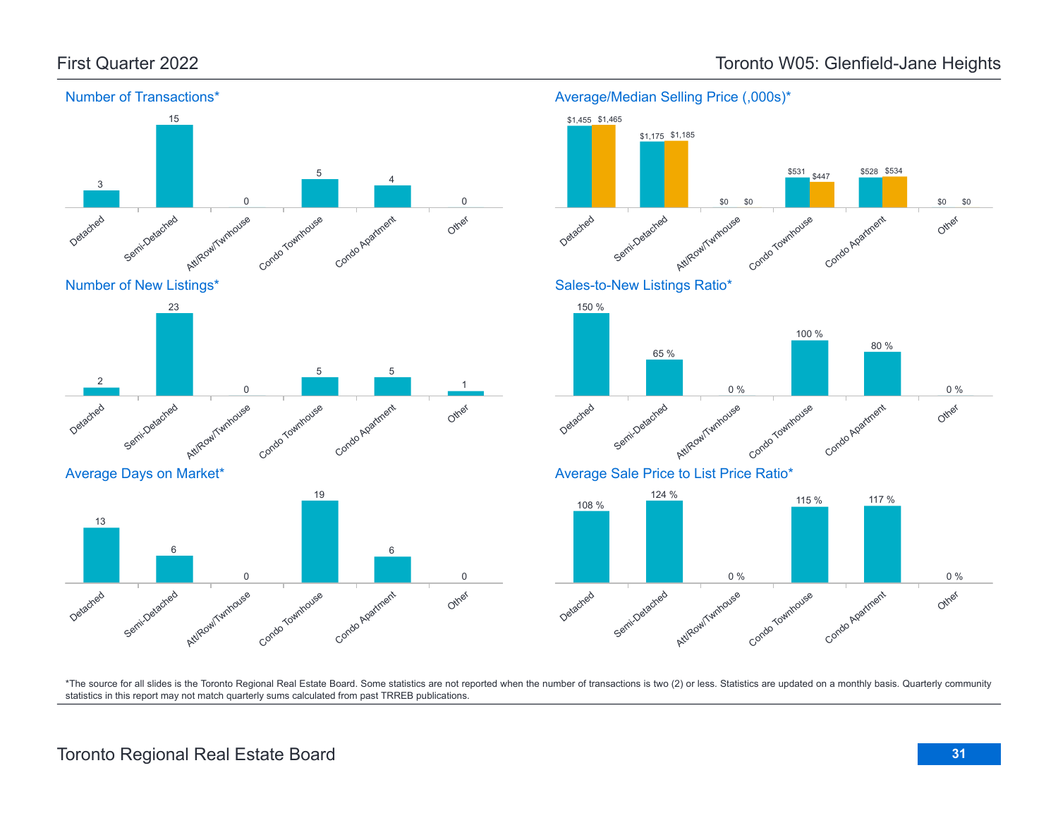![](_page_30_Figure_1.jpeg)

### First Quarter 2022 Toronto W05: Glenfield-Jane Heights

Average/Median Selling Price (,000s)\*

![](_page_30_Figure_4.jpeg)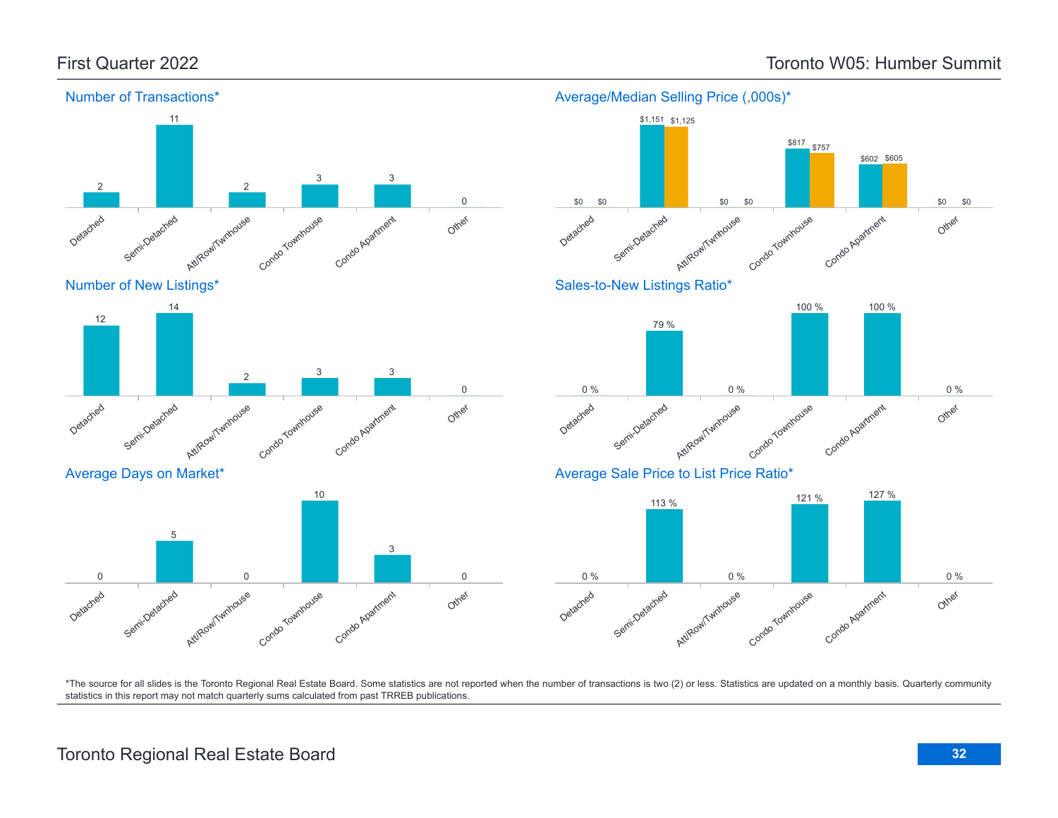![](_page_31_Figure_2.jpeg)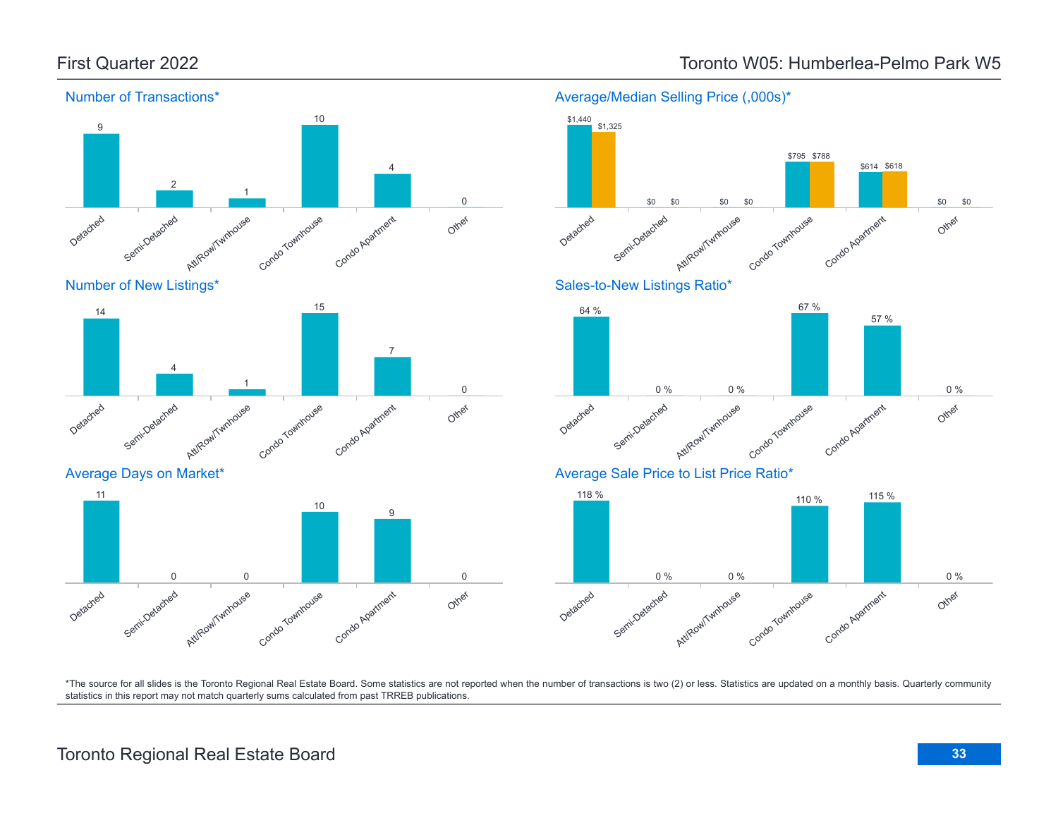![](_page_32_Figure_1.jpeg)

\$614 \$618

57 %

\*The source for all slides is the Toronto Regional Real Estate Board. Some statistics are not reported when the number of transactions is two (2) or less. Statistics are updated on a monthly basis. Quarterly community statistics in this report may not match quarterly sums calculated from past TRREB publications.

Other

Other

Other

0 %

0 %

\$0 \$0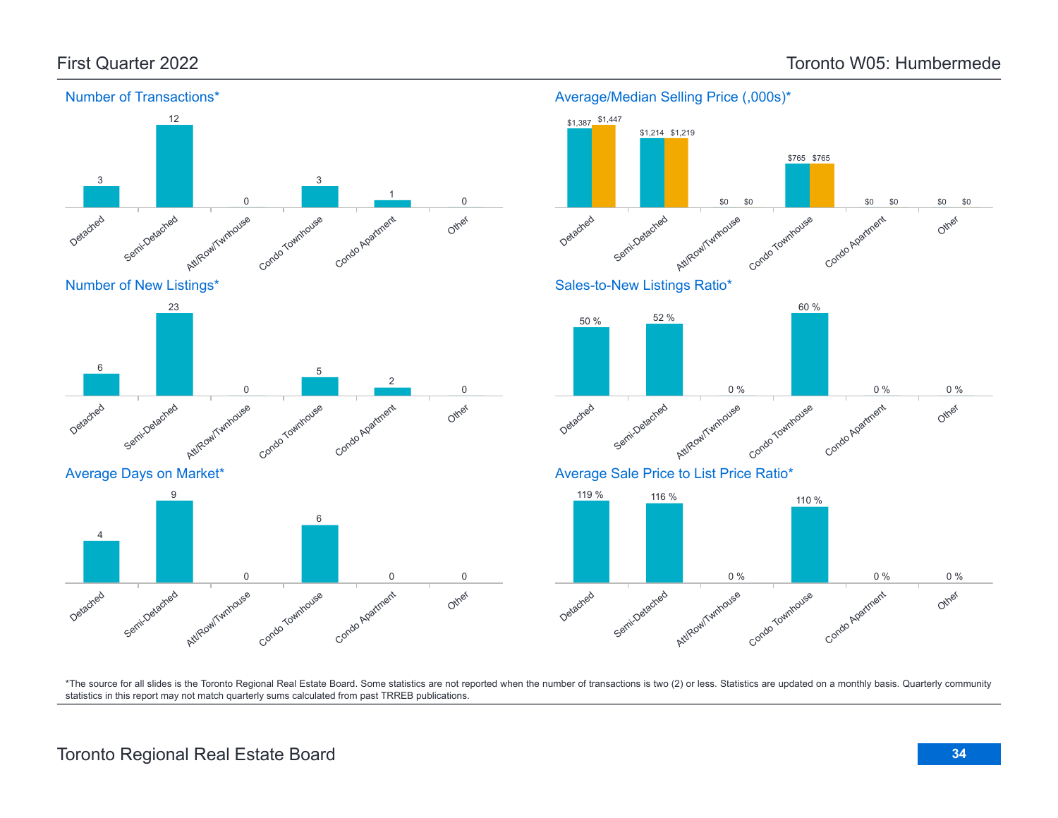![](_page_33_Figure_2.jpeg)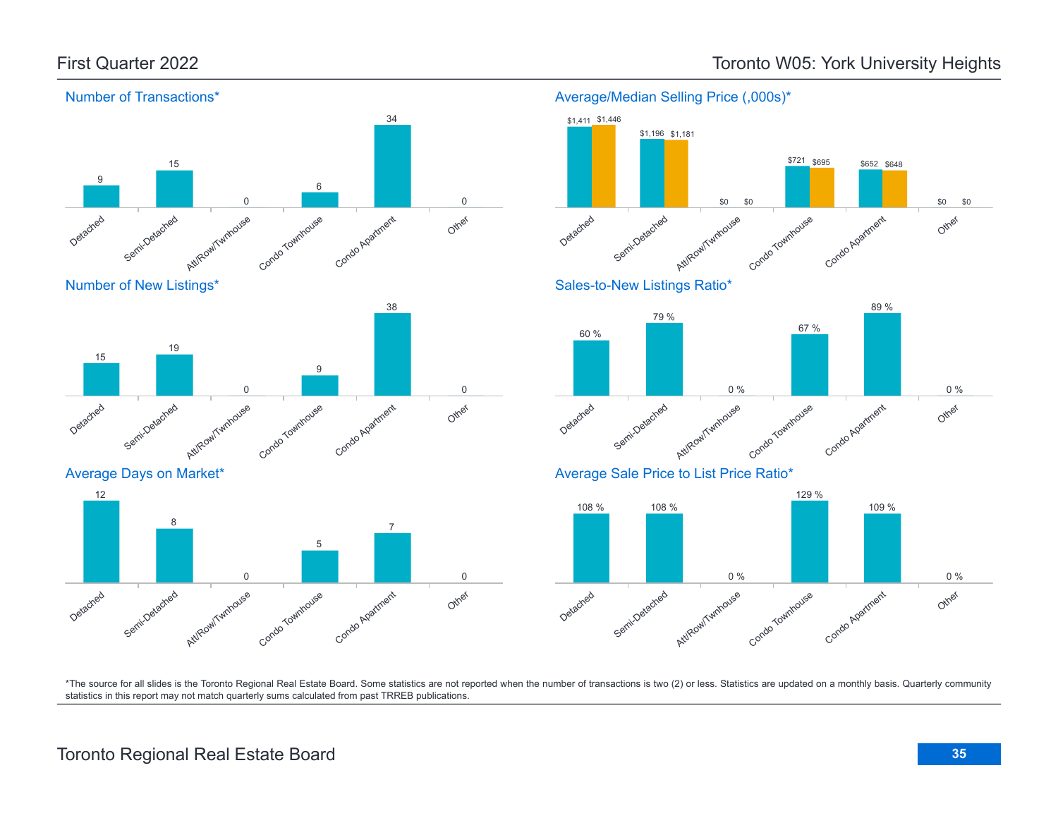\$652 \$695 \$648

\$0

\$0

\$721 \$695

![](_page_34_Figure_2.jpeg)

### Average/Median Selling Price (,000s)\*

![](_page_34_Figure_4.jpeg)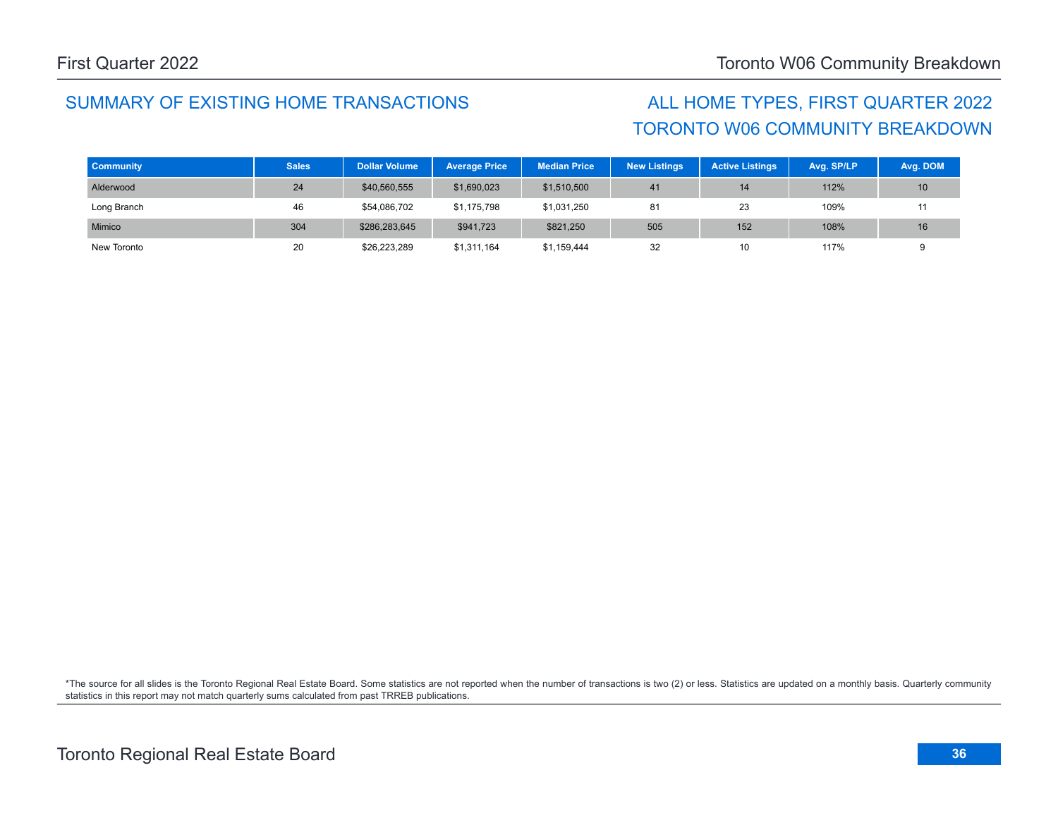### SUMMARY OF EXISTING HOME TRANSACTIONS ALL HOME TYPES, FIRST QUARTER 2022

# TORONTO W06 COMMUNITY BREAKDOWN

| <b>Community</b> | <b>Sales</b> | <b>Dollar Volume</b> | <b>Average Price</b> | <b>Median Price</b> | <b>New Listings</b> | <b>Active Listings</b> | Avg. SP/LP | Avg. DOM |
|------------------|--------------|----------------------|----------------------|---------------------|---------------------|------------------------|------------|----------|
| Alderwood        | 24           | \$40,560,555         | \$1,690,023          | \$1,510,500         | 41                  | 14                     | 112%       | 10       |
| Long Branch      | 46           | \$54,086,702         | \$1.175.798          | \$1,031,250         | 81                  | 23                     | 109%       |          |
| Mimico           | 304          | \$286,283,645        | \$941,723            | \$821,250           | 505                 | 152                    | 108%       | 16       |
| New Toronto      | 20           | \$26,223,289         | \$1,311,164          | \$1,159,444         | 32                  | 10                     | 117%       |          |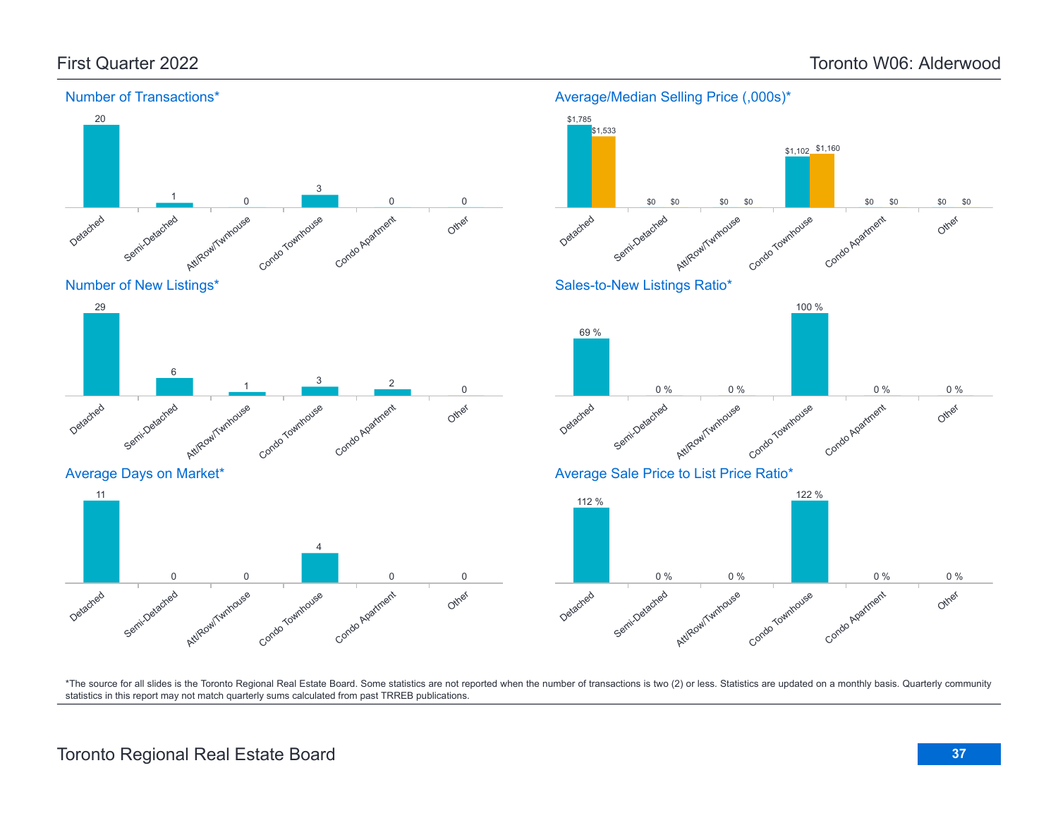![](_page_36_Figure_2.jpeg)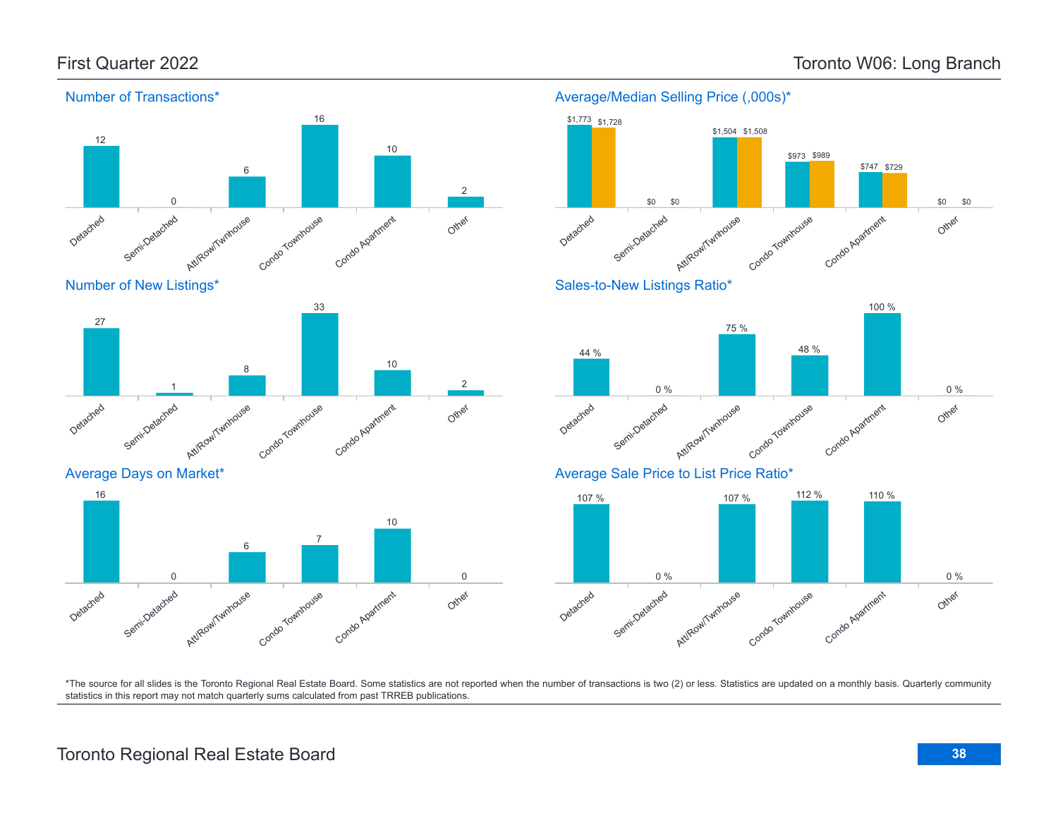![](_page_37_Figure_2.jpeg)

Number of New Listings\*

![](_page_37_Figure_4.jpeg)

Average Days on Market\*

![](_page_37_Figure_6.jpeg)

### Average/Median Selling Price (,000s)\* \$1,773 \$1,728 \$1,504 \$1,508

![](_page_37_Figure_8.jpeg)

![](_page_37_Figure_9.jpeg)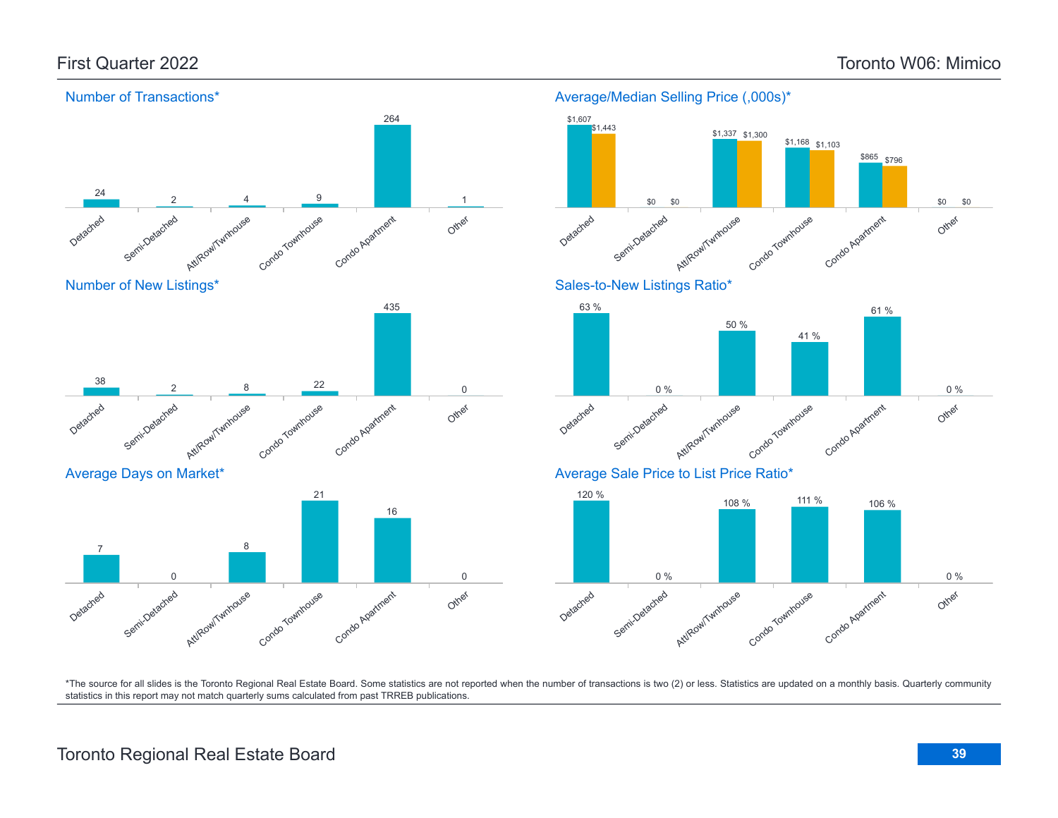![](_page_38_Figure_2.jpeg)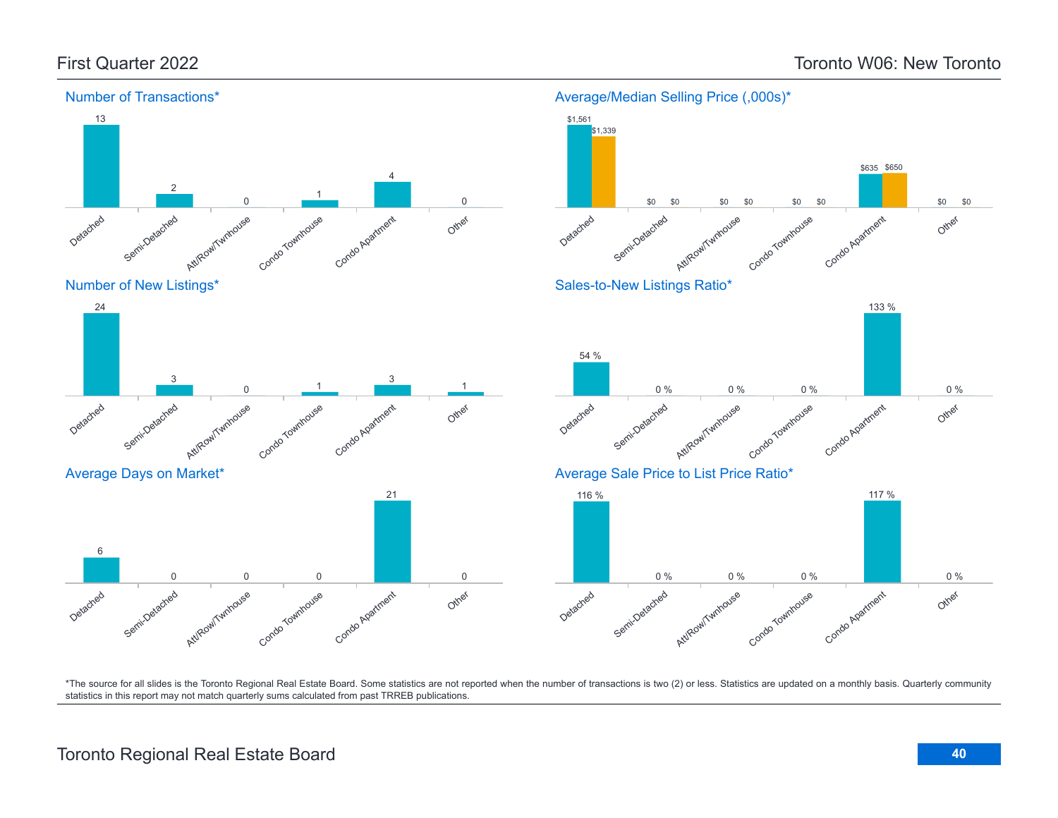![](_page_39_Figure_2.jpeg)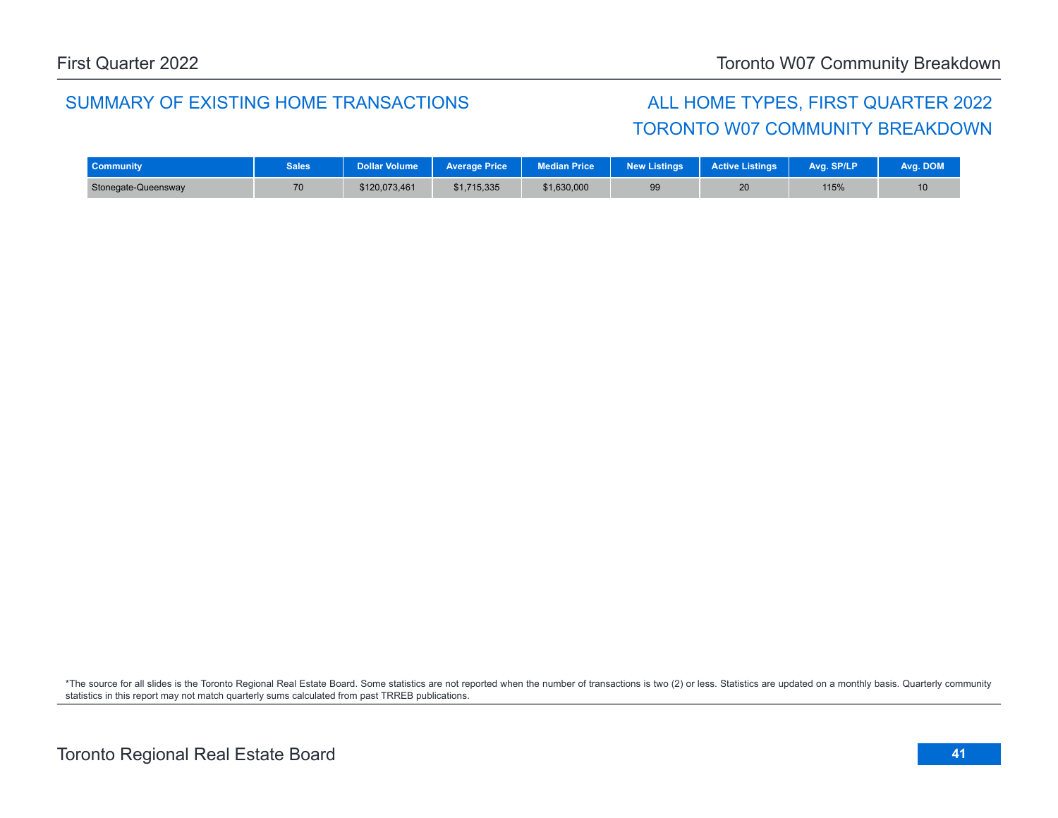### SUMMARY OF EXISTING HOME TRANSACTIONS ALL HOME TYPES, FIRST QUARTER 2022

## TORONTO W07 COMMUNITY BREAKDOWN

| <b>Community</b>    | <b>Sales</b> | Dollar Volume | <b>Average Price</b> | <b>Median Price</b> | New Listings | <b>Active Listings</b> | Ava. SP/LP | Ava. DOM |
|---------------------|--------------|---------------|----------------------|---------------------|--------------|------------------------|------------|----------|
| Stonegate-Queensway | 70           | \$120,073,461 | \$1,715,335          | \$1,630,000         | 99           | 20                     | 115%       | 10       |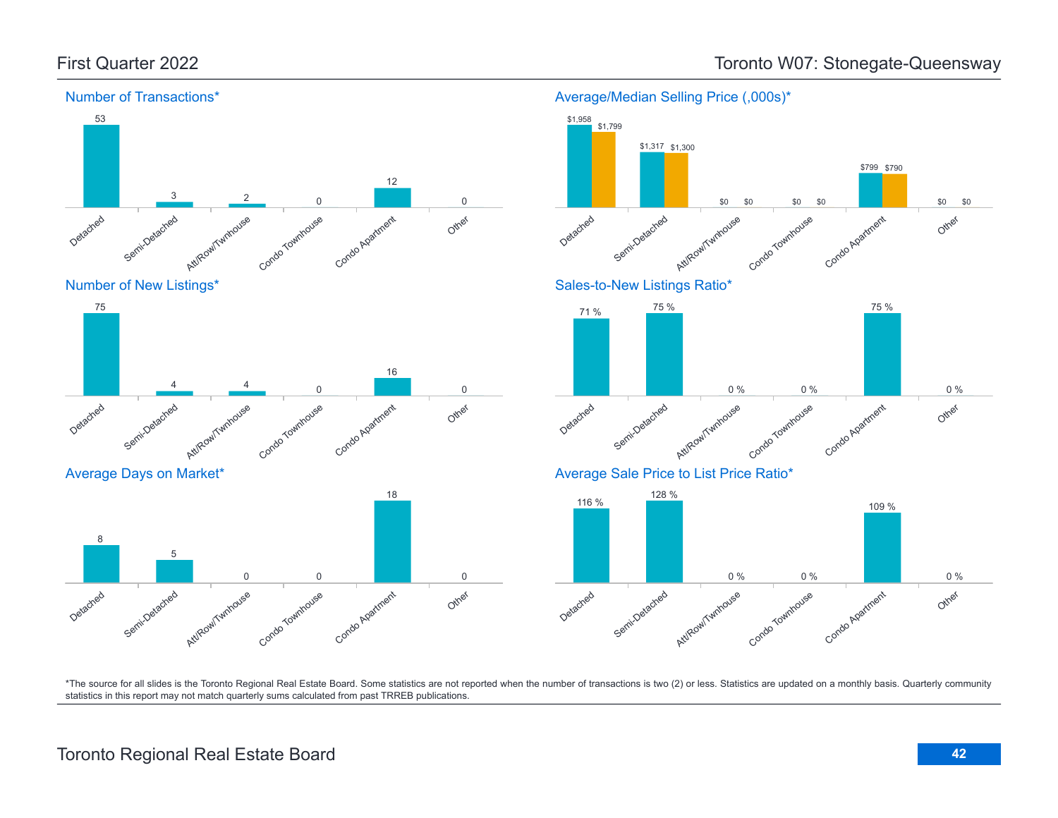Number of Transactions\*

![](_page_41_Figure_1.jpeg)

Condo Apartment

\$0 \$0

\$799 \$790

75 %

Other

\$0

\$0

Average/Median Selling Price (,000s)\*

![](_page_41_Figure_4.jpeg)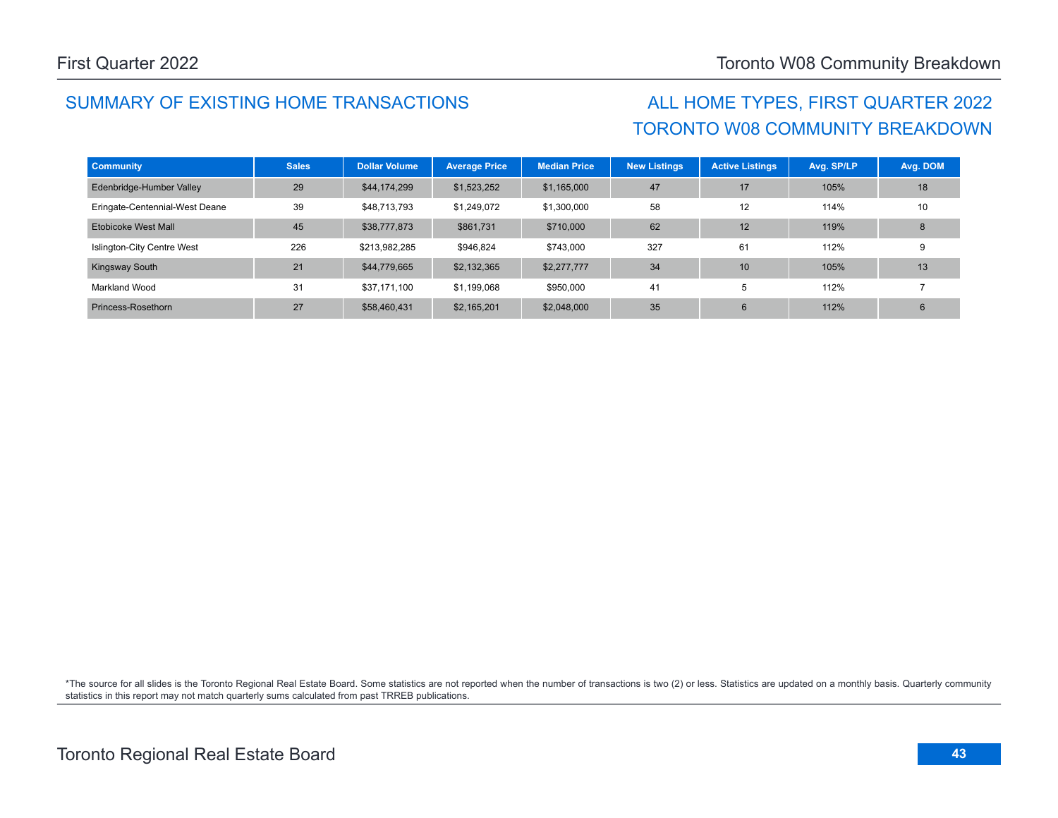## SUMMARY OF EXISTING HOME TRANSACTIONS ALL HOME TYPES, FIRST QUARTER 2022

# TORONTO W08 COMMUNITY BREAKDOWN

| <b>Community</b>               | <b>Sales</b> | <b>Dollar Volume</b> | <b>Average Price</b> | <b>Median Price</b> | <b>New Listings</b> | <b>Active Listings</b> | Avg. SP/LP | Avg. DOM |
|--------------------------------|--------------|----------------------|----------------------|---------------------|---------------------|------------------------|------------|----------|
| Edenbridge-Humber Valley       | 29           | \$44,174,299         | \$1,523,252          | \$1,165,000         | 47                  | 17                     | 105%       | 18       |
| Eringate-Centennial-West Deane | 39           | \$48,713,793         | \$1,249,072          | \$1,300,000         | 58                  | 12                     | 114%       | 10       |
| Etobicoke West Mall            | 45           | \$38,777,873         | \$861,731            | \$710,000           | 62                  | 12                     | 119%       | 8        |
| Islington-City Centre West     | 226          | \$213.982.285        | \$946.824            | \$743,000           | 327                 | 61                     | 112%       | 9        |
| Kingsway South                 | 21           | \$44,779,665         | \$2,132,365          | \$2,277,777         | 34                  | 10                     | 105%       | 13       |
| Markland Wood                  | 31           | \$37,171,100         | \$1,199,068          | \$950,000           | 41                  | 5                      | 112%       |          |
| Princess-Rosethorn             | 27           | \$58,460,431         | \$2,165,201          | \$2,048,000         | 35                  | 6                      | 112%       | 6        |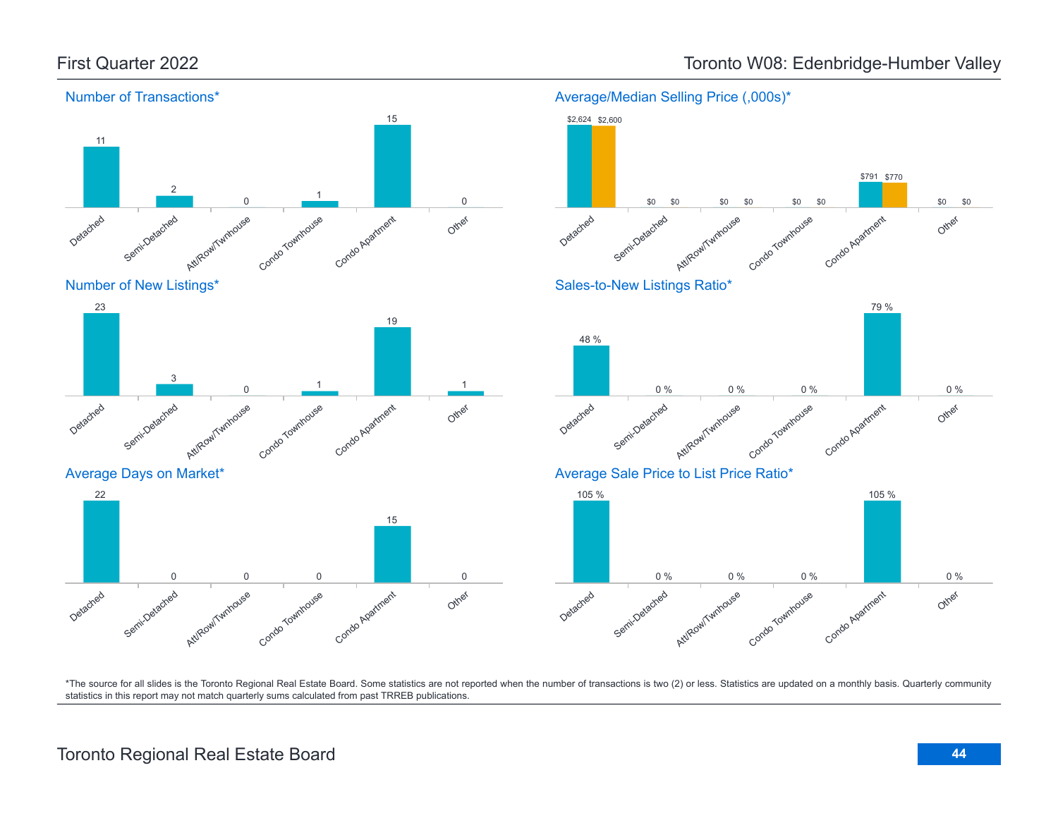![](_page_43_Figure_1.jpeg)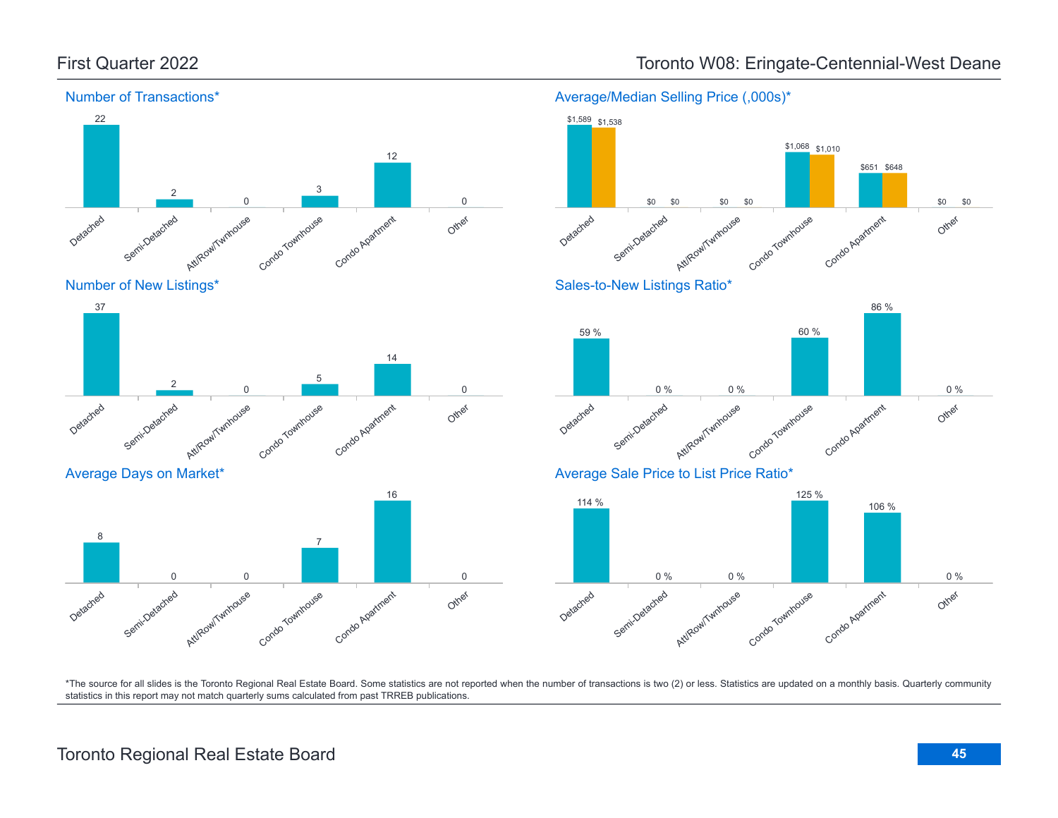![](_page_44_Figure_1.jpeg)

### First Quarter 2022 **Toronto W08: Eringate-Centennial-West Deane**

Condo Apartment

60 %

Condo Agatment

\$651 \$648

86 %

106 %

Other

Other

Other

0 %

0 %

\$0 \$0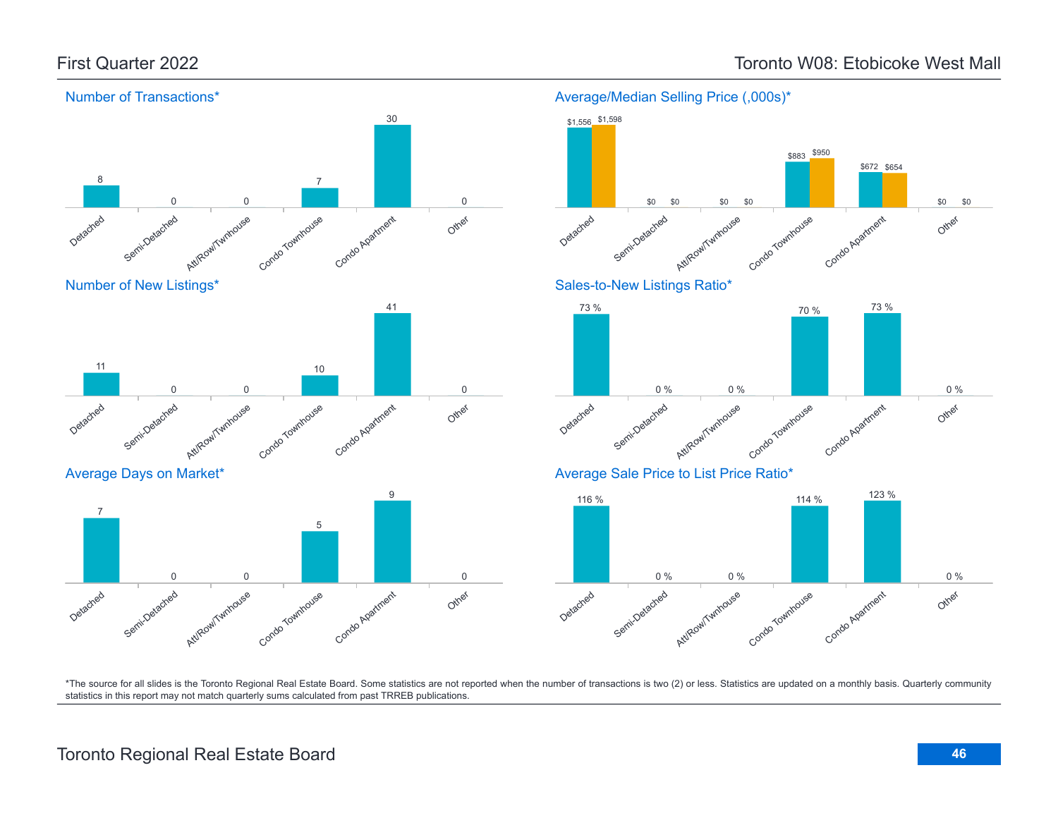![](_page_45_Figure_2.jpeg)

### Toronto Regional Real Estate Board **46**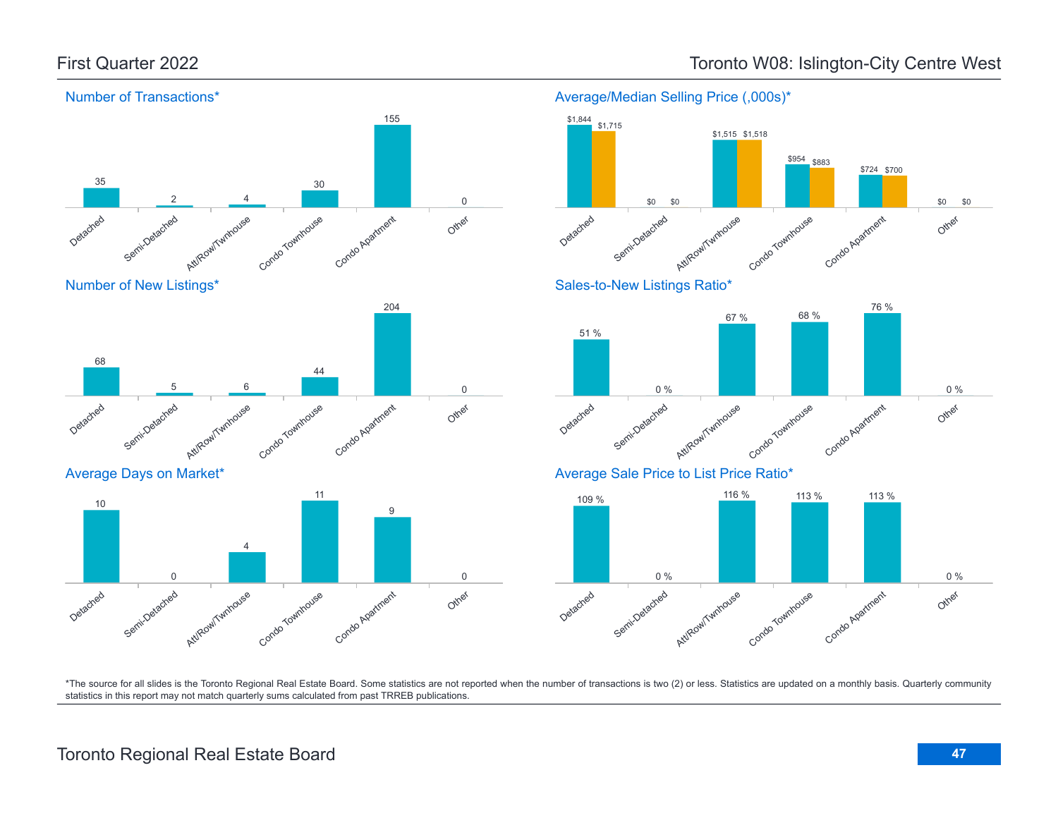![](_page_46_Figure_2.jpeg)

![](_page_46_Figure_3.jpeg)

Number of New Listings\*

![](_page_46_Figure_5.jpeg)

Average Days on Market\*

![](_page_46_Figure_7.jpeg)

![](_page_46_Figure_8.jpeg)

Average/Median Selling Price (,000s)\*

![](_page_46_Figure_9.jpeg)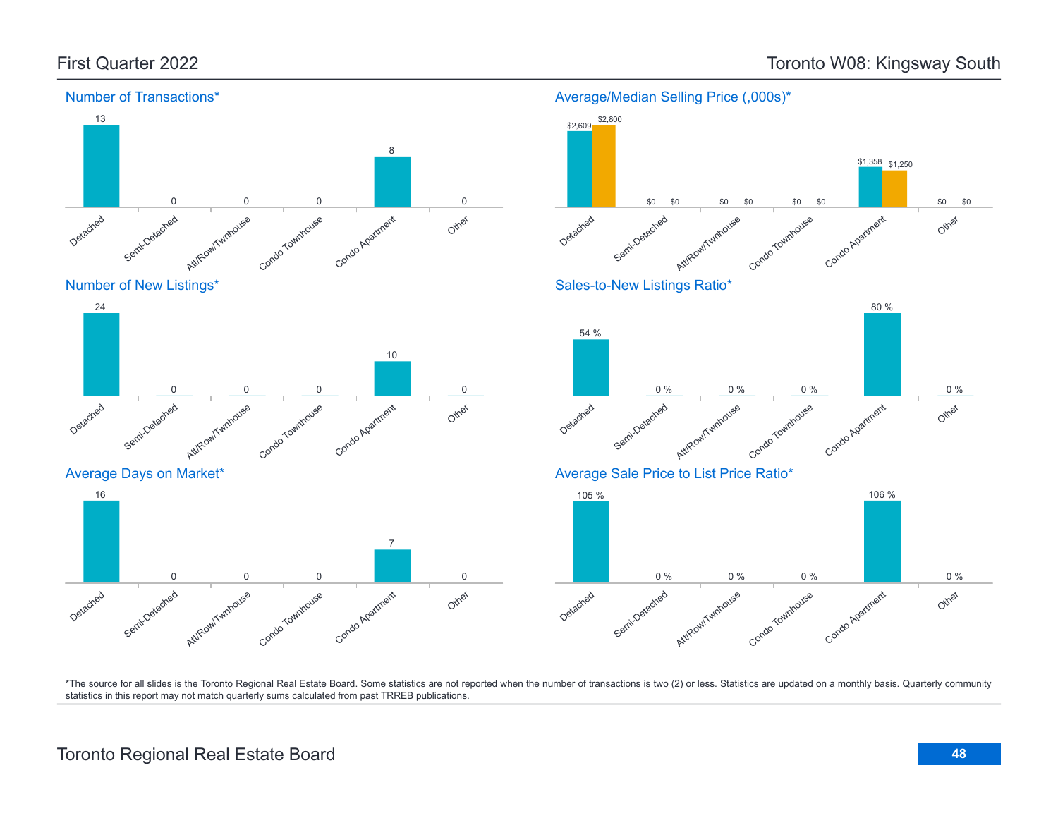\$0

![](_page_47_Figure_2.jpeg)

### Number of Transactions\*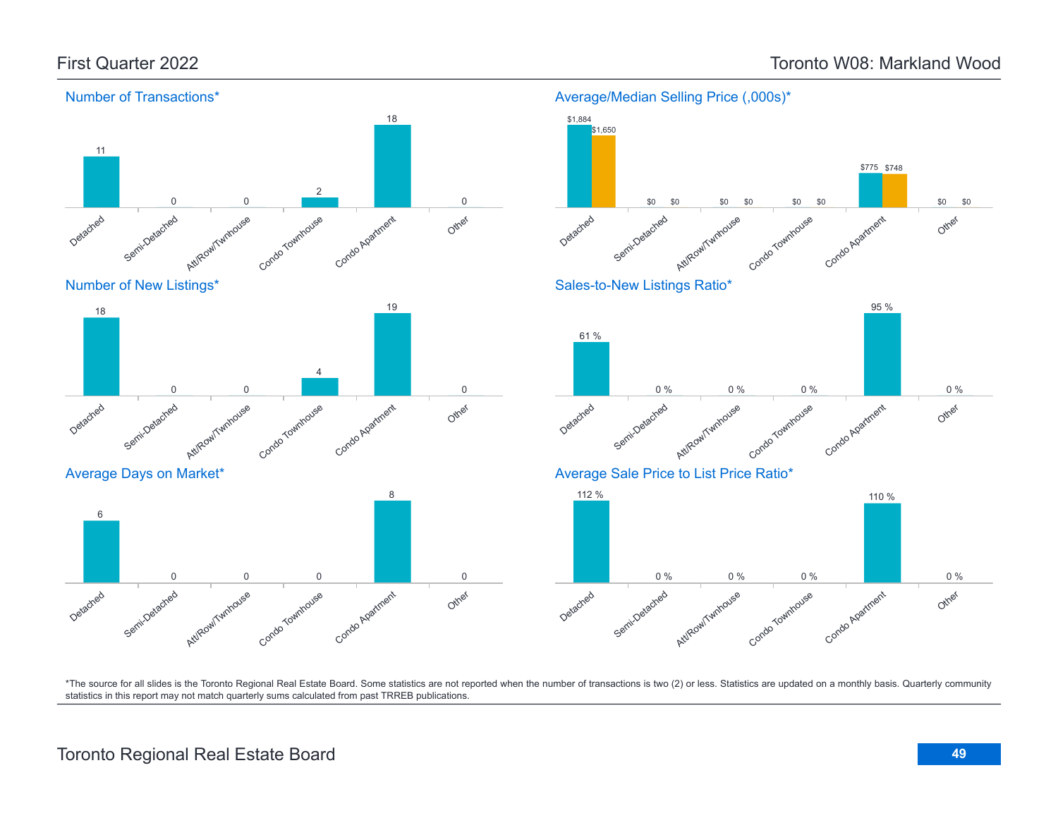![](_page_48_Figure_2.jpeg)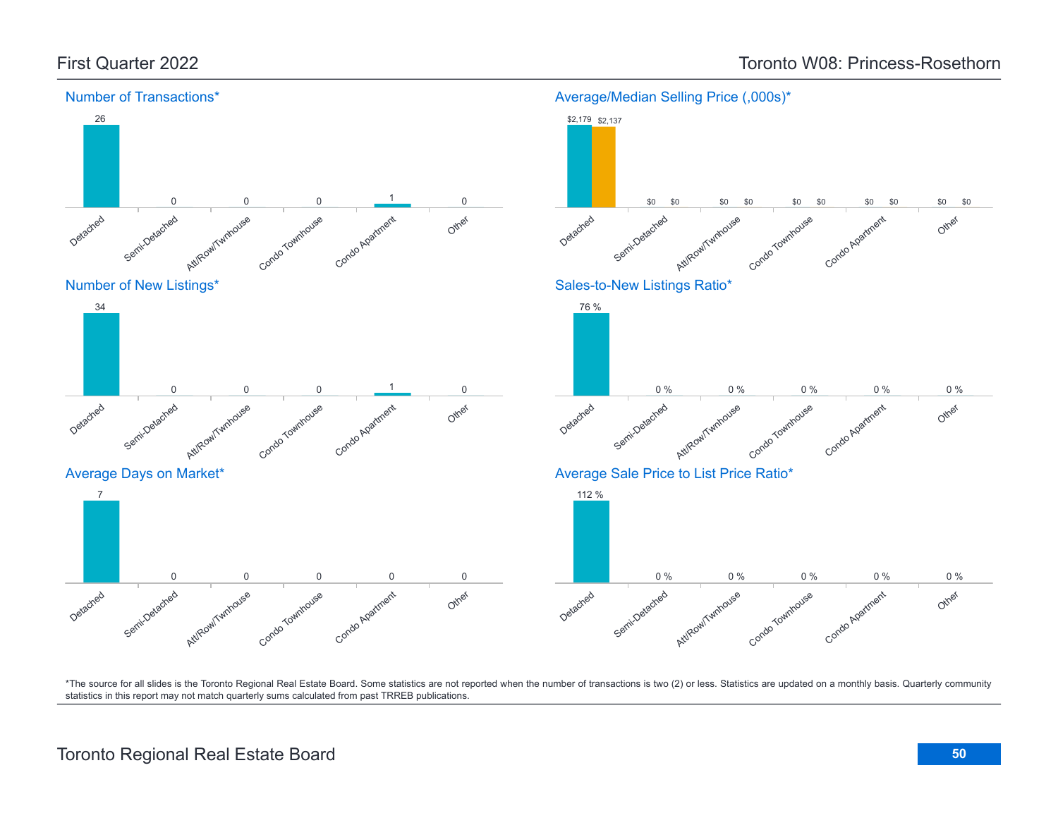![](_page_49_Figure_2.jpeg)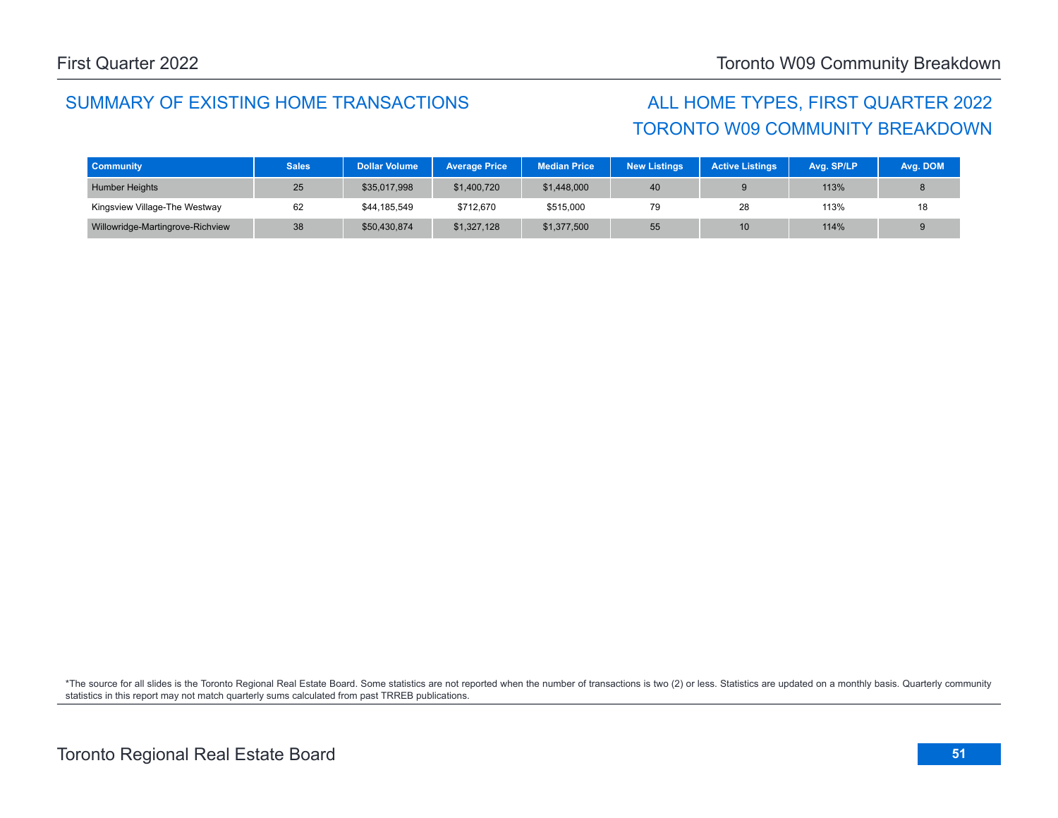### SUMMARY OF EXISTING HOME TRANSACTIONS ALL HOME TYPES, FIRST QUARTER 2022

# TORONTO W09 COMMUNITY BREAKDOWN

| <b>Community</b>                 | <b>Sales</b> | <b>Dollar Volume</b> | <b>Average Price</b> | <b>Median Price</b> | <b>New Listings</b> | <b>Active Listings</b> | Avg. SP/LP | Avg. DOM |
|----------------------------------|--------------|----------------------|----------------------|---------------------|---------------------|------------------------|------------|----------|
| <b>Humber Heights</b>            | 25           | \$35,017,998         | \$1,400,720          | \$1,448,000         | 40                  |                        | 113%       |          |
| Kingsview Village-The Westway    | 62           | \$44,185,549         | \$712,670            | \$515,000           |                     | 28                     | 113%       |          |
| Willowridge-Martingrove-Richview | 38           | \$50,430,874         | \$1,327,128          | \$1,377,500         | 55                  | 10 <sup>1</sup>        | 114%       |          |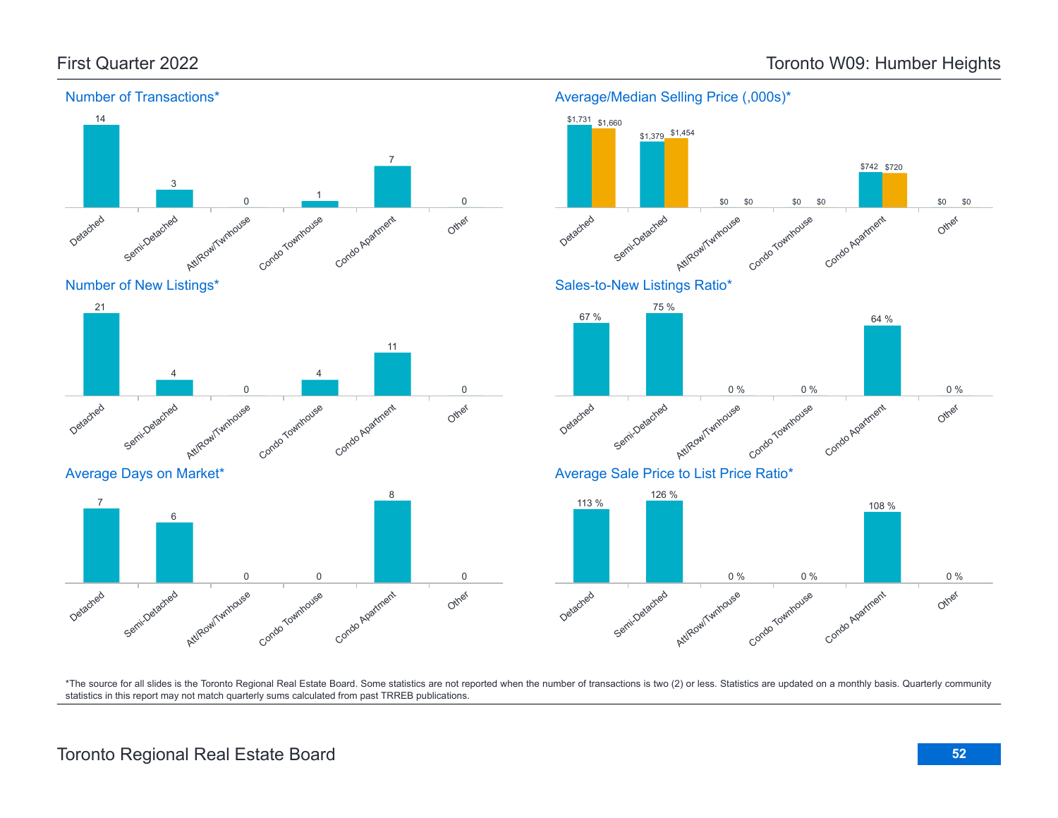![](_page_51_Figure_2.jpeg)

### Number of Transactions\*

Average/Median Selling Price (,000s)\*

![](_page_51_Figure_5.jpeg)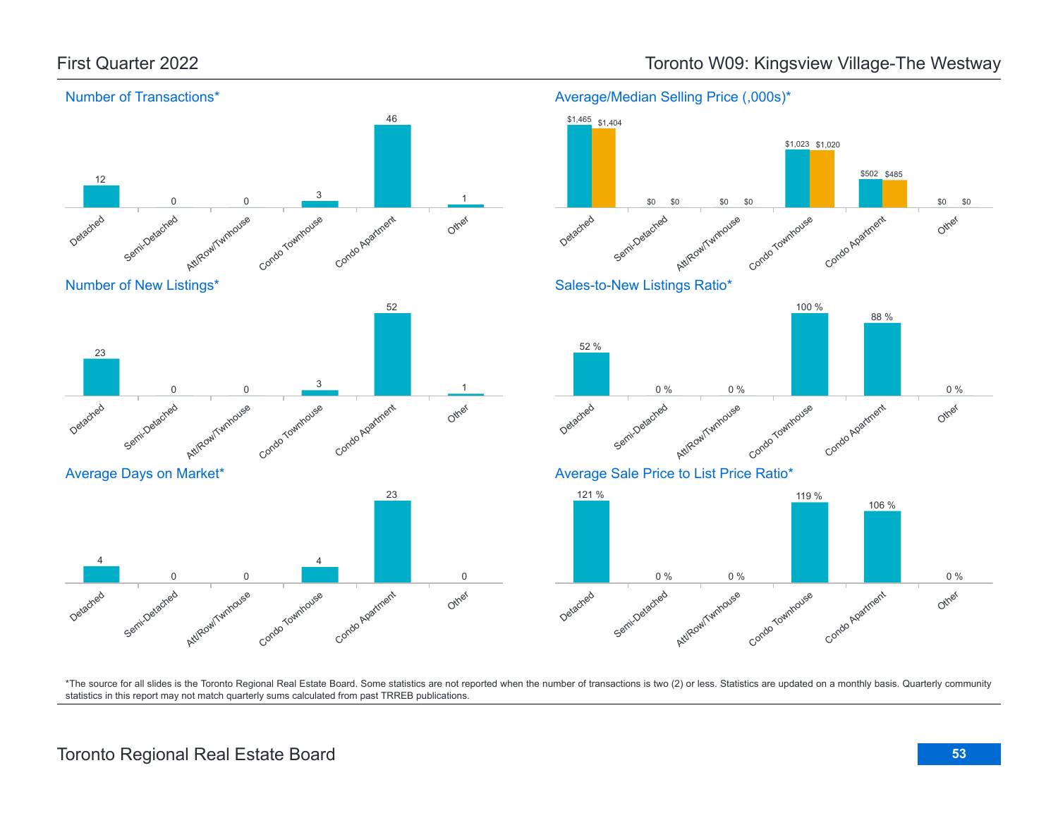![](_page_52_Figure_1.jpeg)

![](_page_52_Figure_3.jpeg)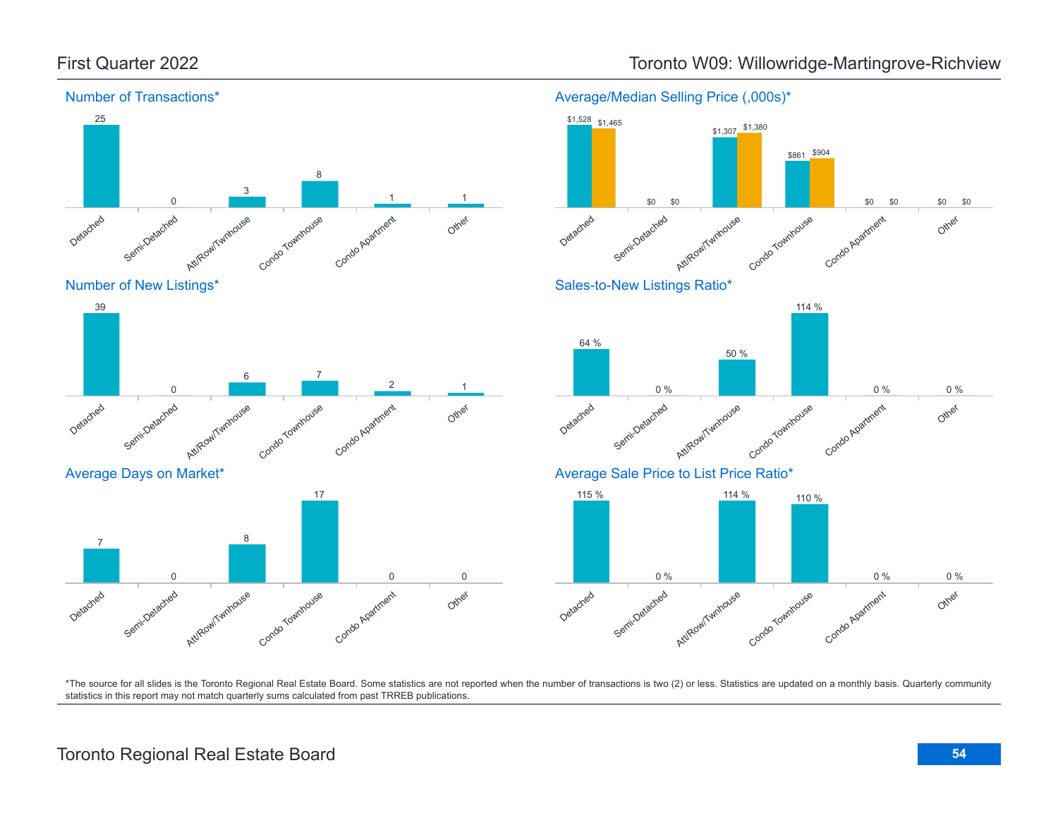![](_page_53_Figure_1.jpeg)

![](_page_53_Figure_3.jpeg)

![](_page_53_Figure_4.jpeg)

![](_page_53_Figure_5.jpeg)

Average Days on Market\*

![](_page_53_Figure_7.jpeg)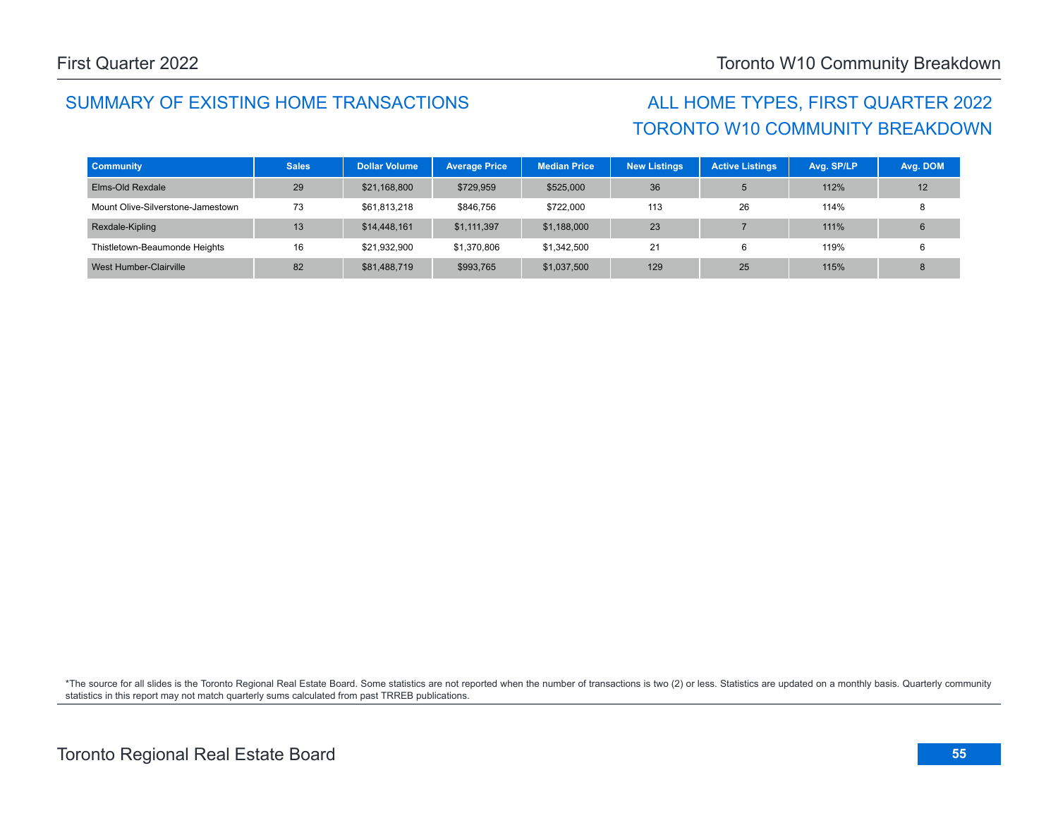## SUMMARY OF EXISTING HOME TRANSACTIONS ALL HOME TYPES, FIRST QUARTER 2022

# TORONTO W10 COMMUNITY BREAKDOWN

| <b>Community</b>                  | <b>Sales</b> | <b>Dollar Volume</b> | <b>Average Price</b> | <b>Median Price</b> | <b>New Listings</b> | <b>Active Listings</b> | Avg. SP/LP | Avg. DOM |
|-----------------------------------|--------------|----------------------|----------------------|---------------------|---------------------|------------------------|------------|----------|
| Elms-Old Rexdale                  | 29           | \$21,168,800         | \$729,959            | \$525,000           | 36                  |                        | 112%       | 12       |
| Mount Olive-Silverstone-Jamestown | 73           | \$61.813.218         | \$846,756            | \$722,000           | 113                 | 26                     | 114%       |          |
| Rexdale-Kipling                   | 13           | \$14,448,161         | \$1,111,397          | \$1,188,000         | 23                  |                        | 111%       |          |
| Thistletown-Beaumonde Heights     | 16           | \$21,932,900         | \$1,370,806          | \$1,342,500         | 21                  | 6                      | 119%       |          |
| West Humber-Clairville            | 82           | \$81,488,719         | \$993,765            | \$1,037,500         | 129                 | 25                     | 115%       |          |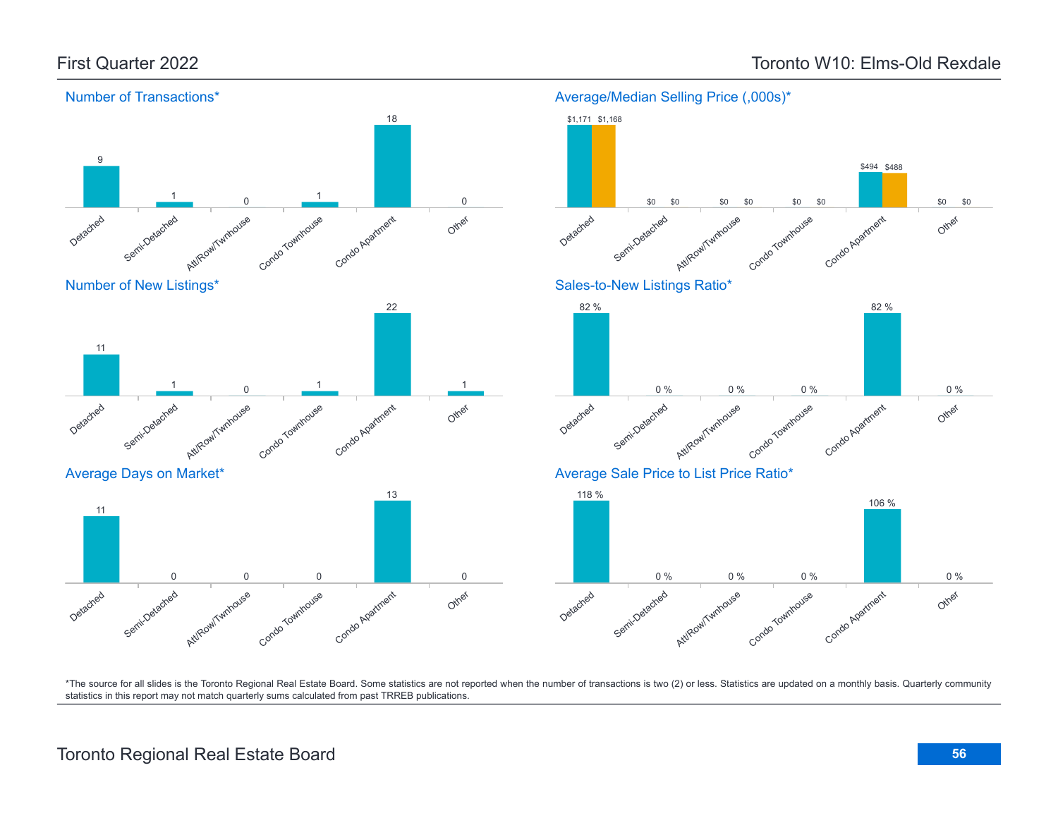![](_page_55_Figure_2.jpeg)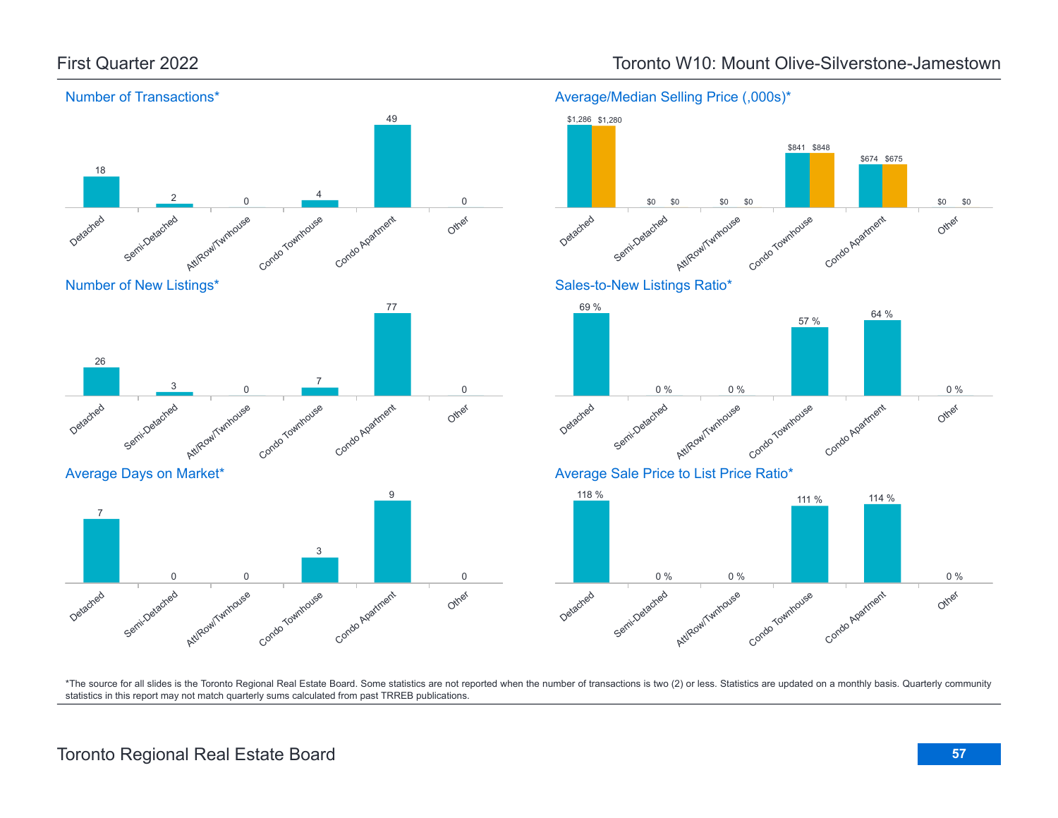![](_page_56_Figure_1.jpeg)

### Detached Semi-Detached Att/Row/Twnhouse Condo Townhouse Condo Apartment Other 7 0 0 3 9 0

### First Quarter 2022 Toronto W10: Mount Olive-Silverstone-Jamestown

![](_page_56_Figure_4.jpeg)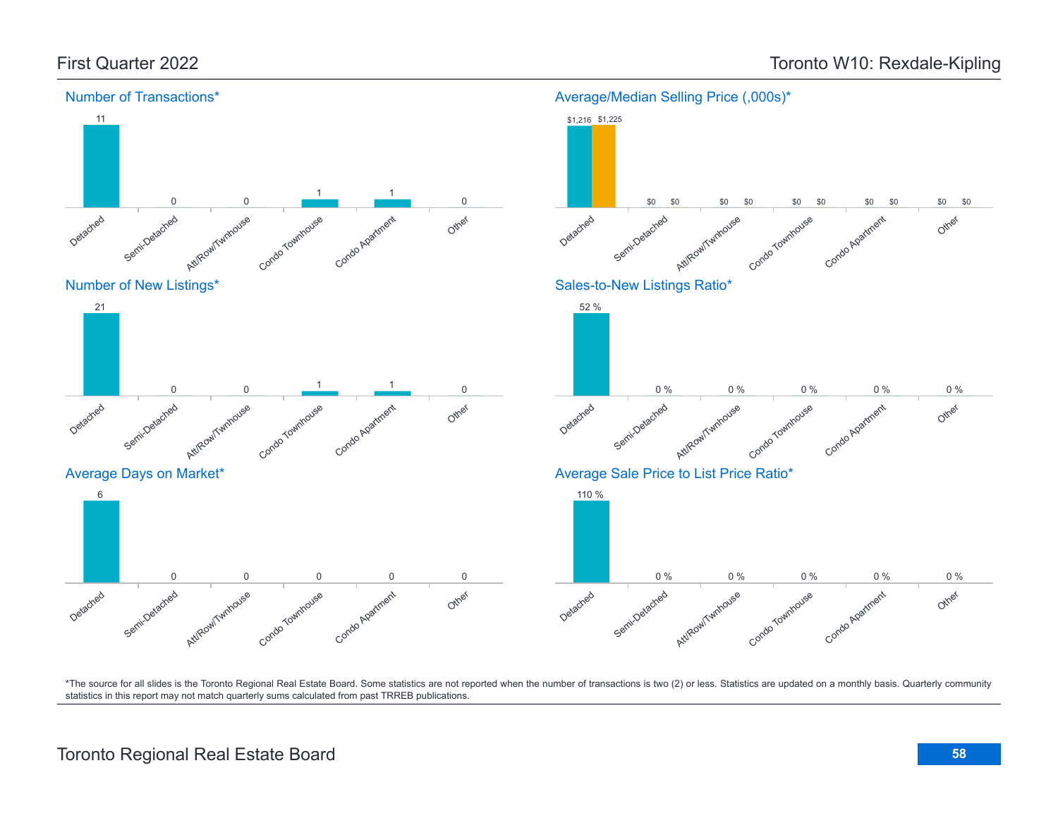![](_page_57_Figure_2.jpeg)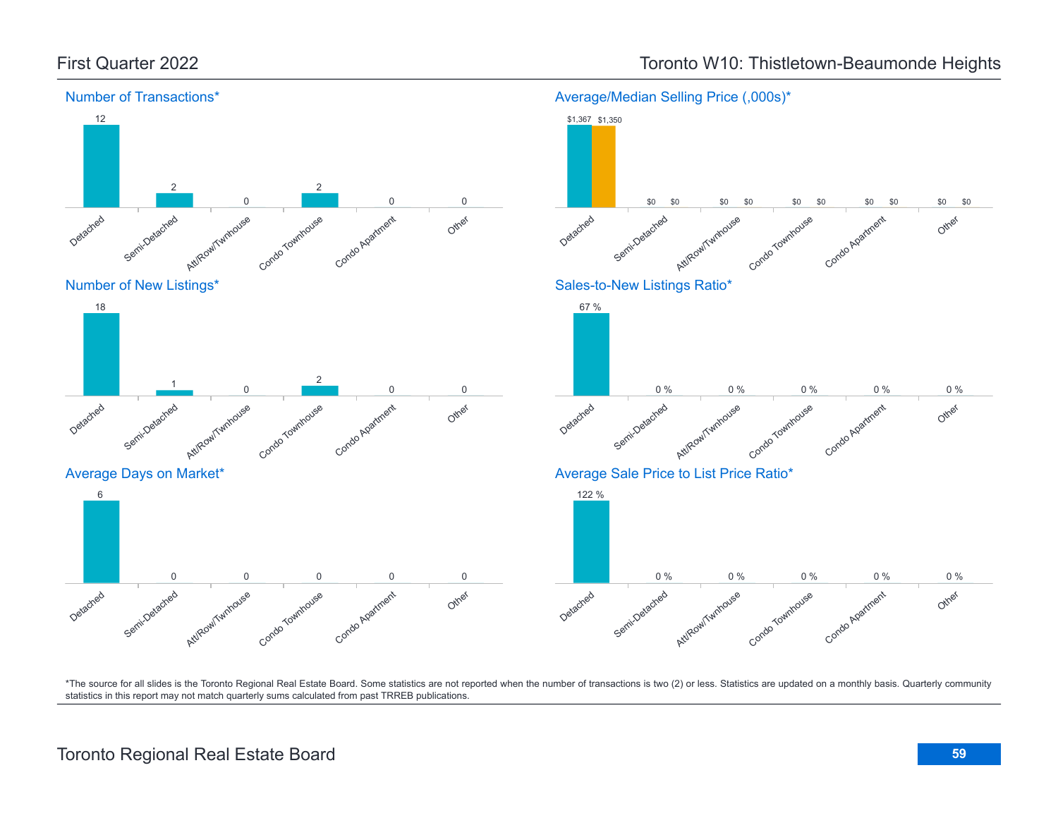![](_page_58_Figure_1.jpeg)